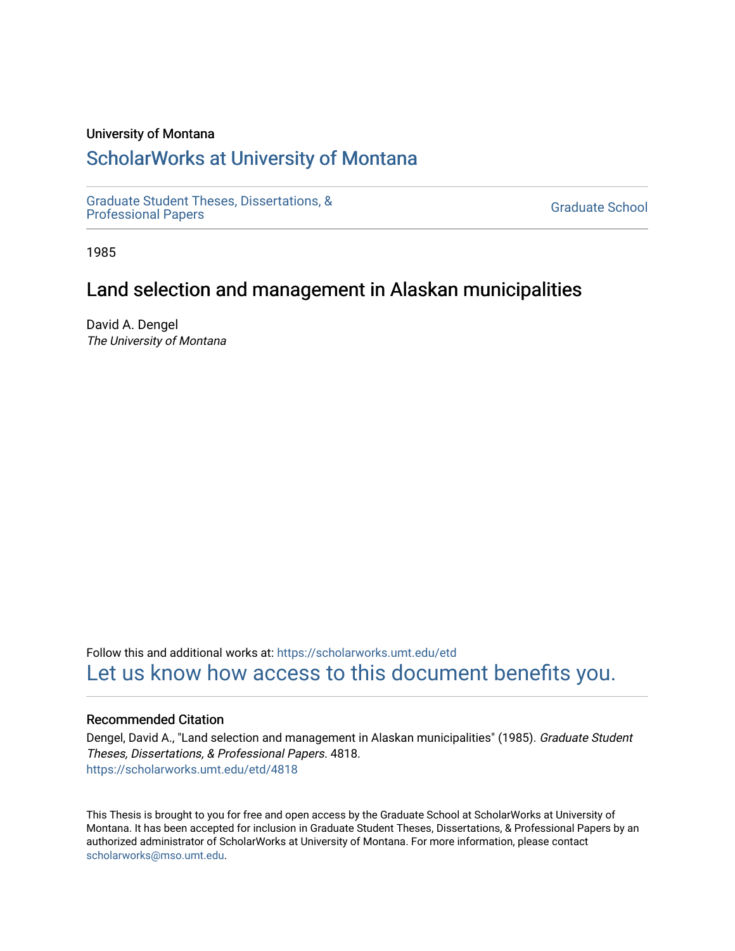# University of Montana

# [ScholarWorks at University of Montana](https://scholarworks.umt.edu/)

[Graduate Student Theses, Dissertations, &](https://scholarworks.umt.edu/etd) Graduate Student Theses, Dissertations, & Contract Control of the Graduate School [Professional Papers](https://scholarworks.umt.edu/etd) Contract Control of the Contract Control of the Contract Control of the Contract Contract Contract Control of the Contra

1985

# Land selection and management in Alaskan municipalities

David A. Dengel The University of Montana

Follow this and additional works at: [https://scholarworks.umt.edu/etd](https://scholarworks.umt.edu/etd?utm_source=scholarworks.umt.edu%2Fetd%2F4818&utm_medium=PDF&utm_campaign=PDFCoverPages)  [Let us know how access to this document benefits you.](https://goo.gl/forms/s2rGfXOLzz71qgsB2) 

#### Recommended Citation

Dengel, David A., "Land selection and management in Alaskan municipalities" (1985). Graduate Student Theses, Dissertations, & Professional Papers. 4818. [https://scholarworks.umt.edu/etd/4818](https://scholarworks.umt.edu/etd/4818?utm_source=scholarworks.umt.edu%2Fetd%2F4818&utm_medium=PDF&utm_campaign=PDFCoverPages)

This Thesis is brought to you for free and open access by the Graduate School at ScholarWorks at University of Montana. It has been accepted for inclusion in Graduate Student Theses, Dissertations, & Professional Papers by an authorized administrator of ScholarWorks at University of Montana. For more information, please contact [scholarworks@mso.umt.edu.](mailto:scholarworks@mso.umt.edu)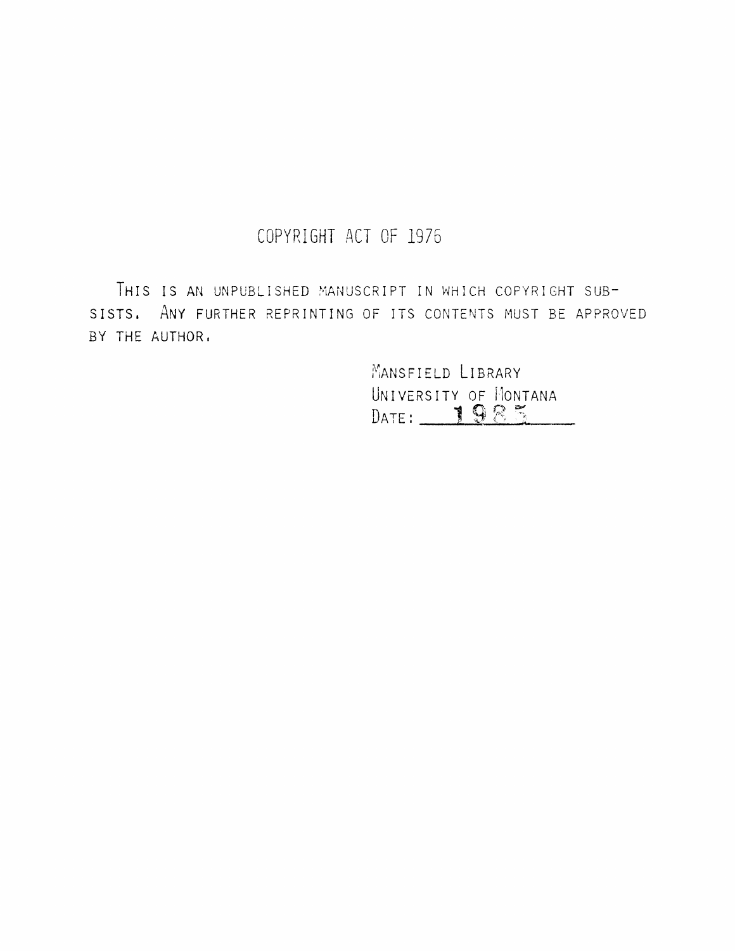# **COPYRIGHT ACT OF 1976**

THIS IS AN UNPUBLISHED MANUSCRIPT IN WHICH COPYRIGHT SUB-SISTS. ANY FURTHER REPRINTING OF ITS CONTENTS MUST BE APPROVED BY THE AUTHOR,

> MANSFIELD LIBRARY Jnive University of Montana Date:  $\underline{\hspace{1em}}$  1 9 2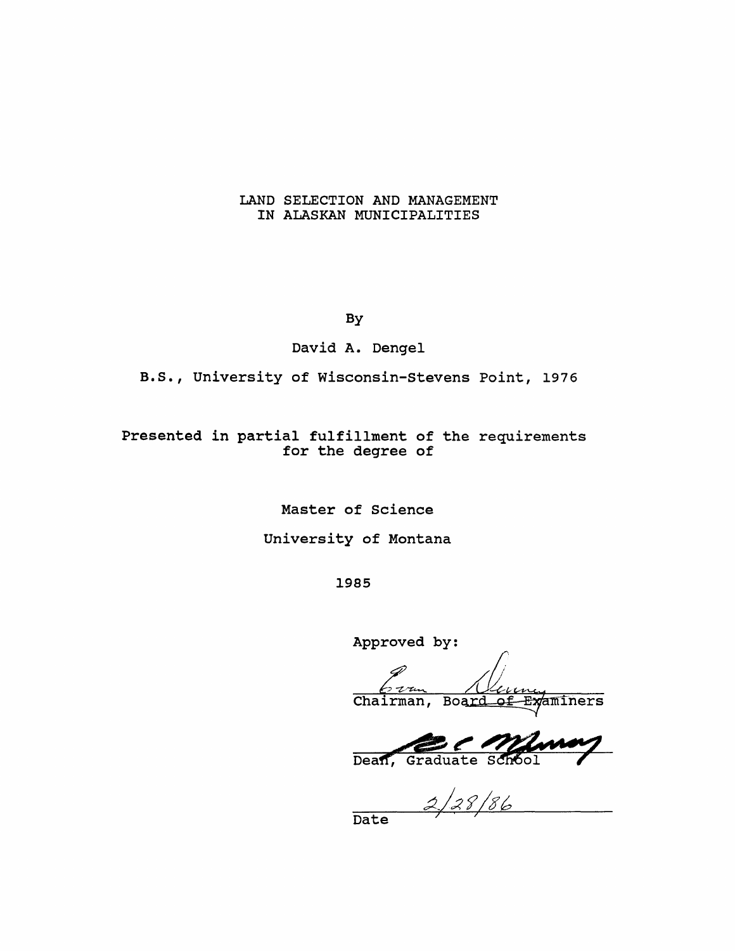#### **LAND SELECTION AND MANAGEMENT IN ALASKAN MUNICIPALITIES**

**By**

**David A. Dengel**

**B.S., University of Wisconsin-Stevens Point, 1976**

**Presented in partial fulfillment of the requirements for the degree of**

**Master of Science**

**University of Montana**

**1985**

**Approved by:**

Chairman, Board of Examiners

Dean, Graduate School

 $2/28/86$ 

**Date**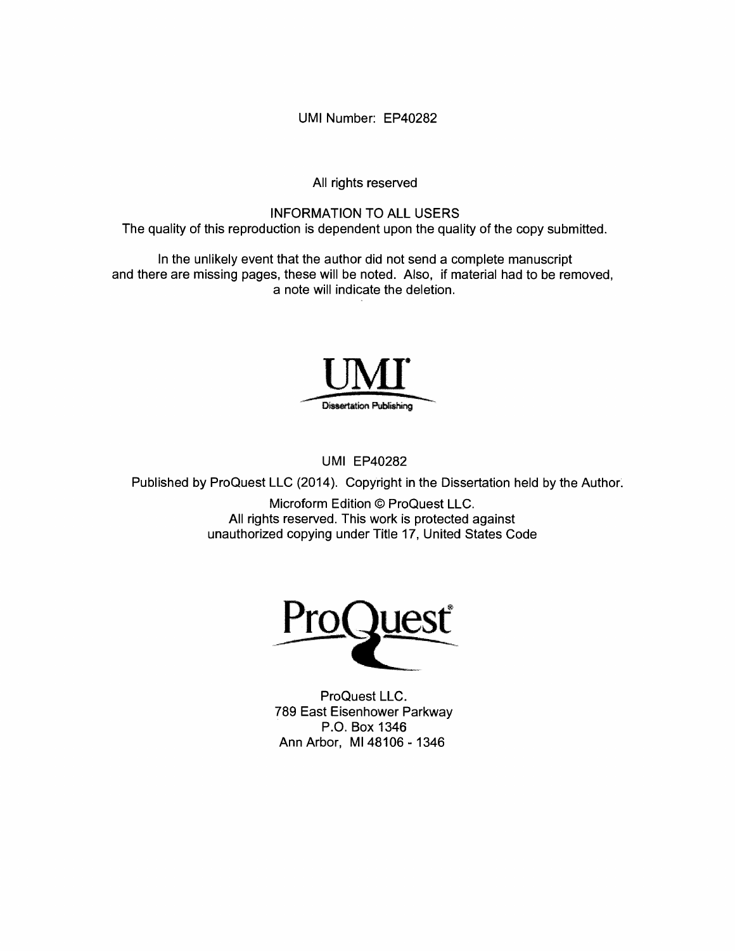**UMI Number: EP40282**

**All rights reserved**

**INFORMATION TO ALL USERS The quality of this reproduction is dependent upon the quality of the copy submitted.**

**In the unlikely event that the author did not send a complete manuscript and there are missing pages, these will be noted. Also, if material had to be removed, a note will indicate the deletion.**



**UMI EP40282**

**Published by ProQuest LLC (2014). Copyright in the Dissertation held by the Author.**

**Microform Edition © ProQuest LLC. All rights reserved. This work is protected against unauthorized copying under Title 17, United States Code**



**ProQuest LLC. 789 East Eisenhower Parkway P.O. Box 1346 Ann Arbor, MI 48106 - 1346**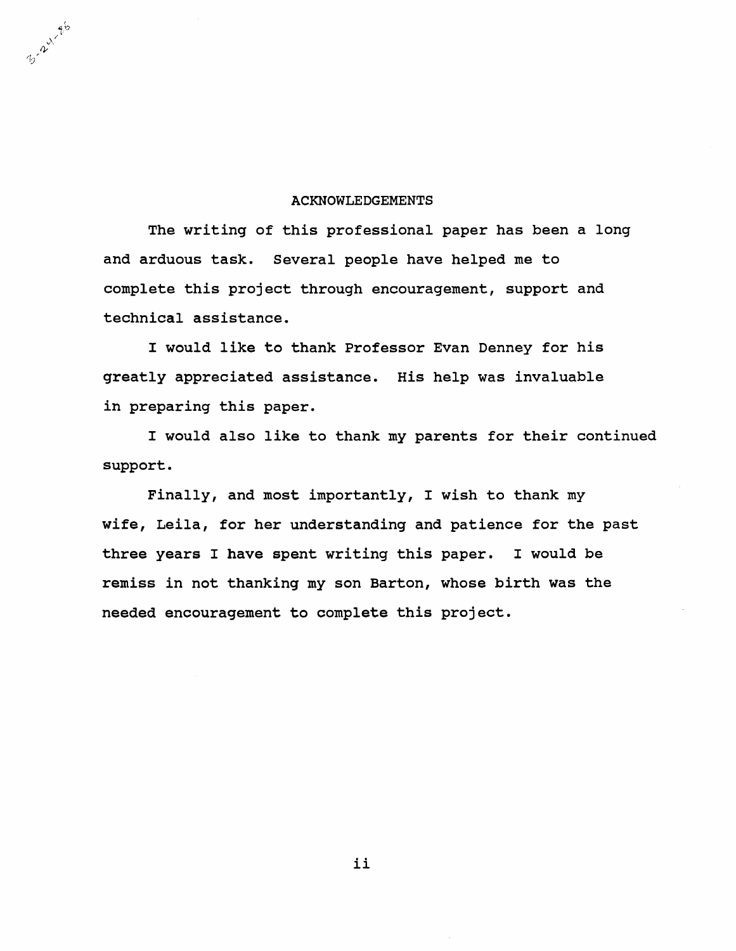#### **ACKNOWLEDGEMENTS**

3-24-816

**The writing of this professional paper has been a long and arduous task. Several people have helped me to complete this project through encouragement, support and technical assistance.**

**I would like to thank Professor Evan Denney for his greatly appreciated assistance. His help was invaluable in preparing this paper.**

**I would also like to thank my parents for their continued support.**

**Finally, and most importantly, I wish to thank my wife, Leila, for her understanding and patience for the past three years I have spent writing this paper. I would be remiss in not thanking my son Barton, whose birth was the needed encouragement to complete this project.**

ii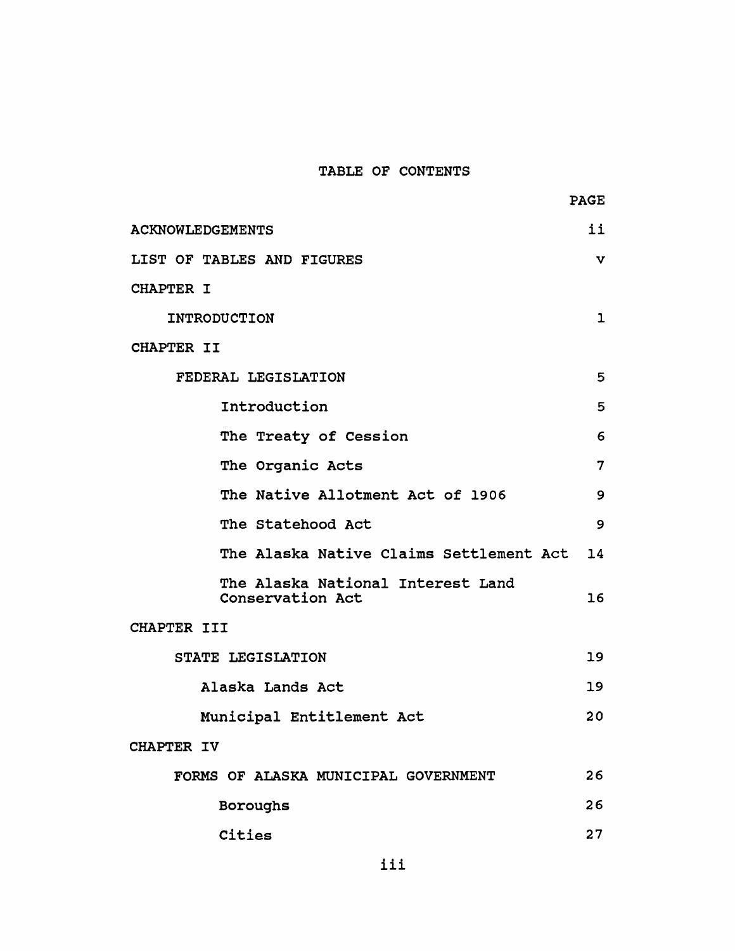# **TABLE OF CONTENTS**

**PAGE**

| ii<br><b>ACKNOWLEDGEMENTS</b>                         |                |  |  |  |  |
|-------------------------------------------------------|----------------|--|--|--|--|
| LIST OF TABLES AND FIGURES<br>v                       |                |  |  |  |  |
| <b>CHAPTER I</b>                                      |                |  |  |  |  |
| <b>INTRODUCTION</b>                                   | ı              |  |  |  |  |
| <b>CHAPTER II</b>                                     |                |  |  |  |  |
| FEDERAL LEGISLATION                                   | 5              |  |  |  |  |
| Introduction                                          | 5              |  |  |  |  |
| The Treaty of Cession                                 | 6              |  |  |  |  |
| The Organic Acts                                      | $\overline{7}$ |  |  |  |  |
| The Native Allotment Act of 1906                      | 9              |  |  |  |  |
| The Statehood Act                                     | 9              |  |  |  |  |
| The Alaska Native Claims Settlement Act 14            |                |  |  |  |  |
| The Alaska National Interest Land<br>Conservation Act | 16             |  |  |  |  |
| CHAPTER III                                           |                |  |  |  |  |
| STATE LEGISLATION                                     | 19             |  |  |  |  |
| Alaska Lands Act                                      | 19             |  |  |  |  |
| Municipal Entitlement Act                             | 20             |  |  |  |  |
| CHAPTER IV                                            |                |  |  |  |  |
| FORMS OF ALASKA MUNICIPAL GOVERNMENT                  | 26             |  |  |  |  |
| Boroughs                                              | 26             |  |  |  |  |
| Cities                                                | 27             |  |  |  |  |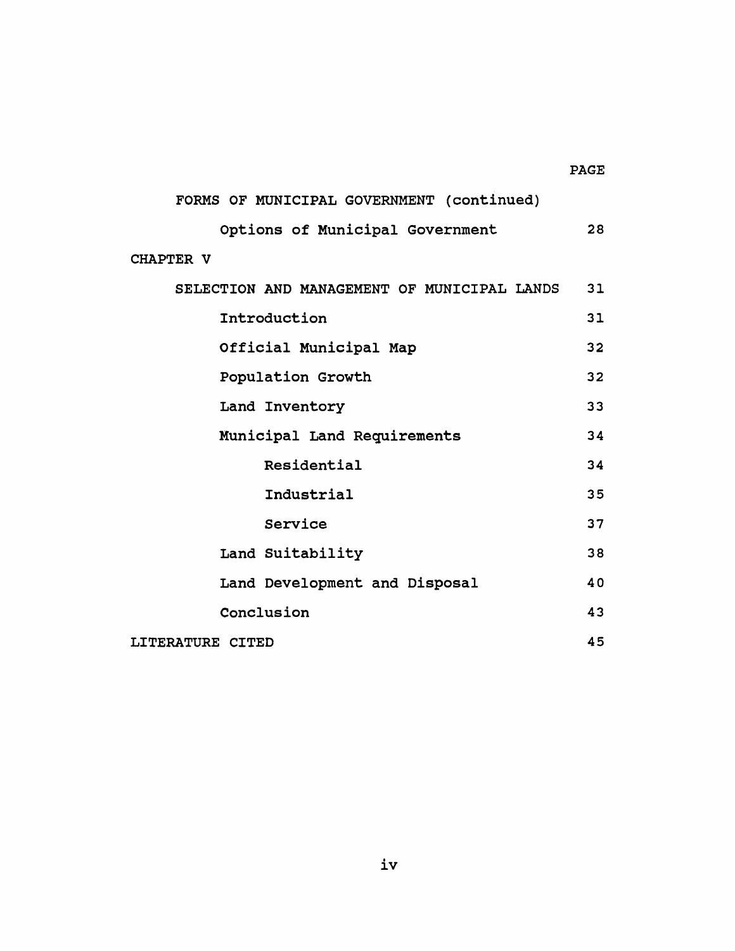# **PAGE**

# **FORMS OF MUNICIPAL GOVERNMENT (continued) Options of Municipal Government 28 CHAPTER V SELECTION AND MANAGEMENT OF MUNICIPAL LANDS 31 Introduction 31 Official Municipal Map 32** Population Growth 32 Land Inventory 33 **Municipal Land Requirements 34 Residential 34 Industrial 35** Service 37 **Land Suitability 38 Land Development and Disposal 40 Conclusion 43 LITERATURE CITED 45**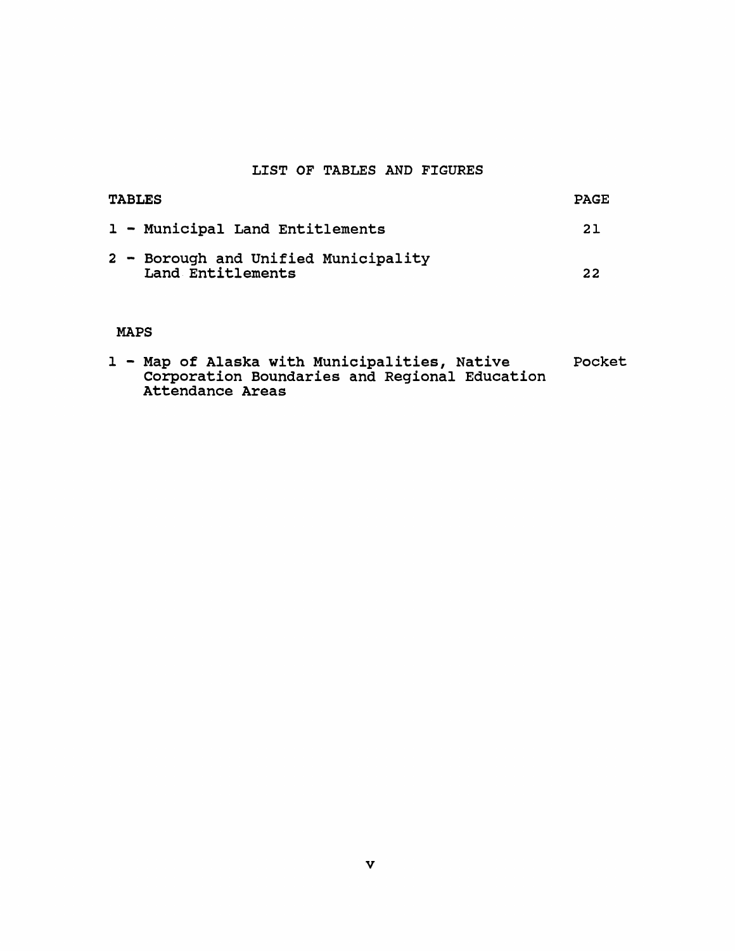# **LIST OF TABLES AND FIGURES**

| <b>TABLES</b>                                             | <b>PAGE</b> |
|-----------------------------------------------------------|-------------|
| 1 - Municipal Land Entitlements                           | 21          |
| 2 - Borough and Unified Municipality<br>Land Entitlements | 22          |

# **MAPS**

|  |  |                  |  | 1 - Map of Alaska with Municipalities, Native |                                               | Pocket |
|--|--|------------------|--|-----------------------------------------------|-----------------------------------------------|--------|
|  |  |                  |  |                                               | Corporation Boundaries and Regional Education |        |
|  |  | Attendance Areas |  |                                               |                                               |        |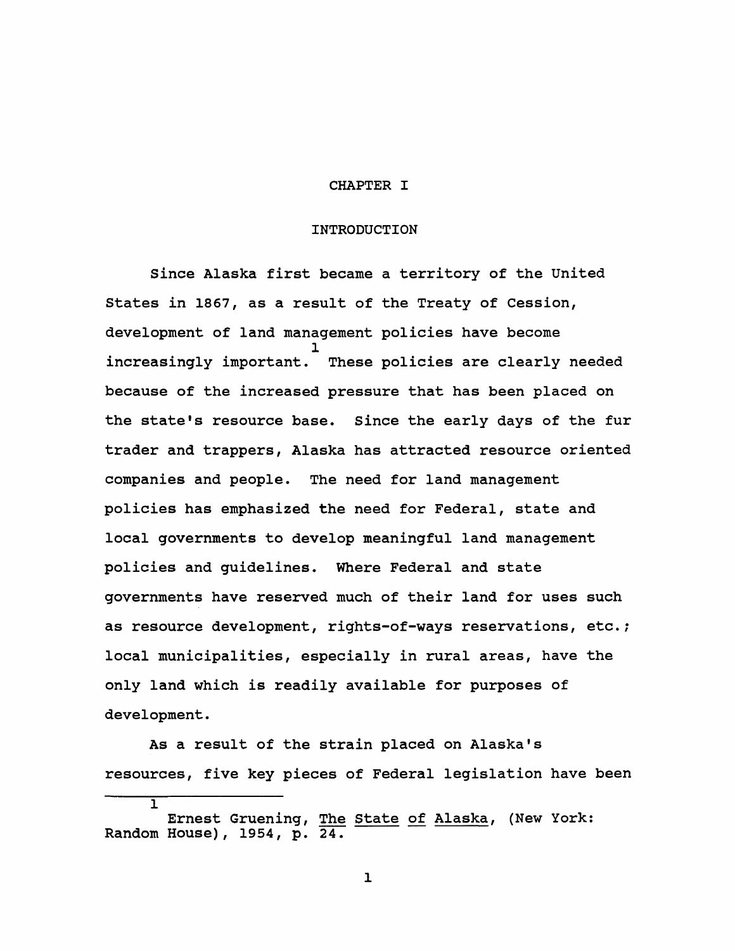# **CHAPTER I**

#### **INTRODUCTION**

**Since Alaska first became a territory of the United States in 1867, as a result of the Treaty of Cession, development of land management policies have become 1 increasingly important. These policies are clearly needed because of the increased pressure that has been placed on the state's resource base. Since the early days of the fur trader and trappers, Alaska has attracted resource oriented companies and people. The need for land management policies has emphasized the need for Federal, state and local governments to develop meaningful land management policies and guidelines. Where Federal and state governments have reserved much of their land for uses such as resource development, rights-of-ways reservations, etc.; local municipalities, especially in rural areas, have the only land which is readily available for purposes of development.**

**As a result of the strain placed on Alaska's resources, five key pieces of Federal legislation have been I**

**Ernest Gruening, The State of Alaska, (New York: Random House), 1954, p. 24.**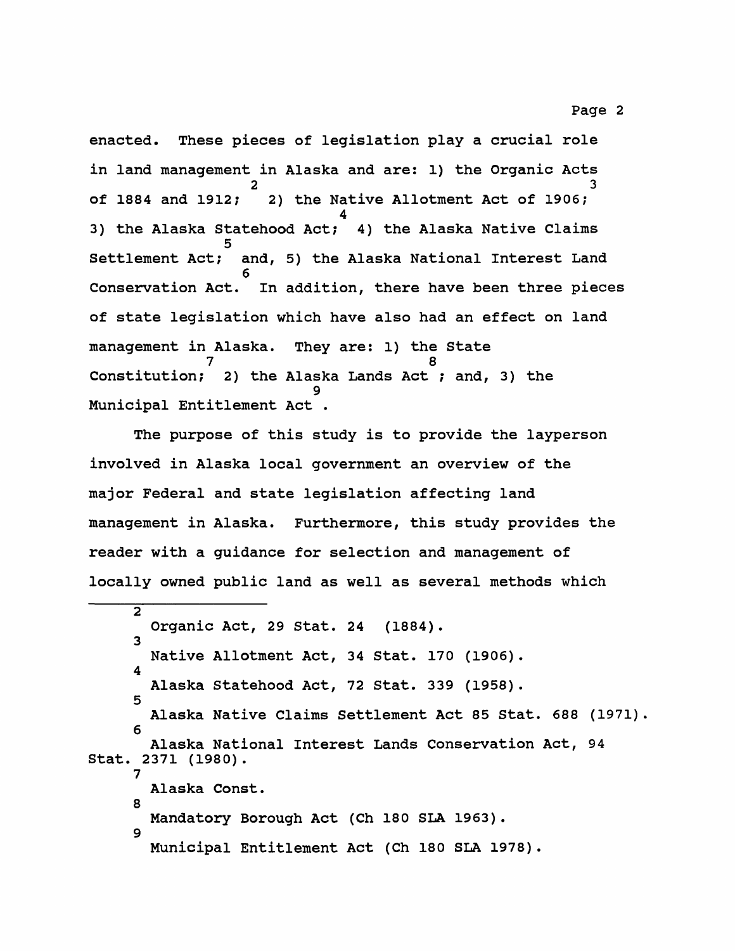**enacted. These pieces of legislation play a crucial role in land management in Alaska and are: 1) the Organic Acts 2 3 of 1884 and 1912; 2) the Native Allotment Act of 1906; 4 3) the Alaska Statehood Act; 4) the Alaska Native Claims 5 Settlement Act; and, 5) the Alaska National Interest Land 6 Conservation Act. In addition, there have been three pieces of state legislation which have also had an effect on land management in Alaska. They are: 1) the State 7 8 Constitution; 2) the Alaska Lands Act ; and, 3) the 9 Municipal Entitlement Act .**

**The purpose of this study is to provide the layperson involved in Alaska local government an overview of the major Federal and state legislation affecting land management in Alaska. Furthermore, this study provides the reader with a guidance for selection and management of locally owned public land as well as several methods which**

**2 Organic Act, 29 Stat. 24 (1884). 3 Native Allotment Act, 34 Stat. 170 (1906). 4 Alaska Statehood Act, 72 Stat. 339 (1958). 5 Alaska Native Claims Settlement Act 85 Stat. 688 (1971). 6 Alaska National Interest Lands Conservation Act, 94 Stat. 2371 (1980). 7 Alaska Const. 8 Mandatory Borough Act (Ch 180 SLA 1963). 9 Municipal Entitlement Act (Ch 180 SLA 1978).**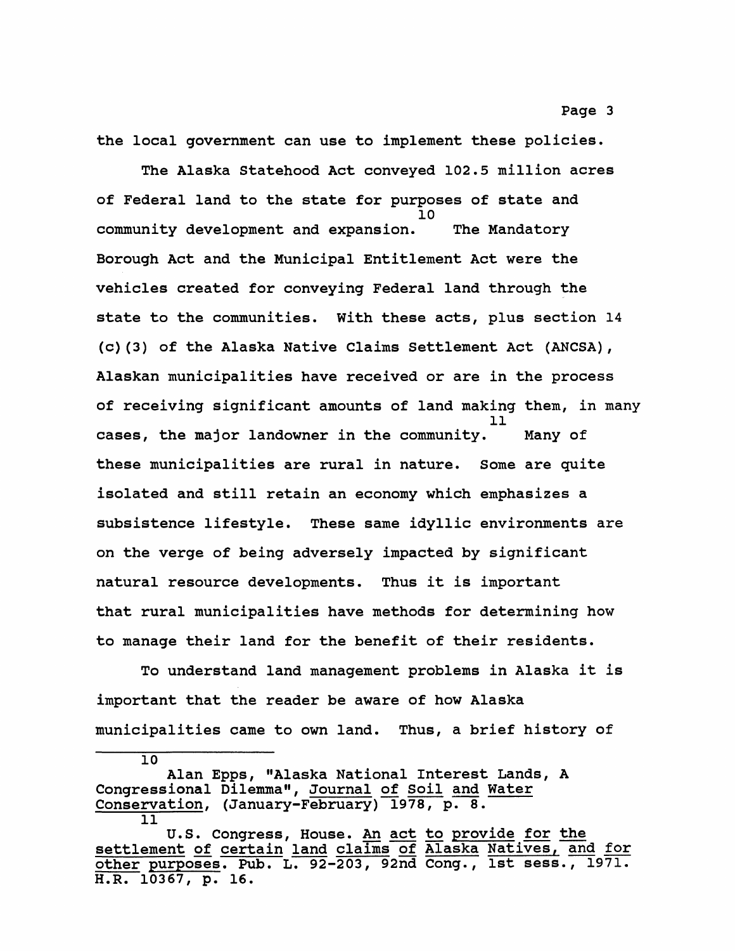**the local government can use to implement these policies.**

**The Alaska Statehood Act conveyed 102.5 million acres of Federal land to the state for purposes of state and 10 community development and expansion. The Mandatory Borough Act and the Municipal Entitlement Act were the vehicles created for conveying Federal land through the state to the communities. With these acts, plus section 14 (c)(3) of the Alaska Native Claims Settlement Act (ANCSA), Alaskan municipalities have received or are in the process of receiving significant amounts of land making them, in many 11 cases, the major landowner in the community. Many of these municipalities are rural in nature. Some are quite isolated and still retain an economy which emphasizes a subsistence lifestyle. These same idyllic environments are on the verge of being adversely impacted by significant natural resource developments. Thus it is important that rural municipalities have methods for determining how to manage their land for the benefit of their residents.**

**To understand land management problems in Alaska it is important that the reader be aware of how Alaska municipalities came to own land. Thus, a brief history of**

**Alan Epps, "Alaska National Interest Lands, A Congressional Dilemma", Journal of Soil and Water Conservation, (January-February) 1978, p. 8. 11**

**U.S. Congress, House. An act to provide for the settlement of certain land claims of Alaska Natives, and for other purposes. Pub. L. 92-203, 92nd Cong., 1st sess., 1971. H.R. 10367, p. 16.**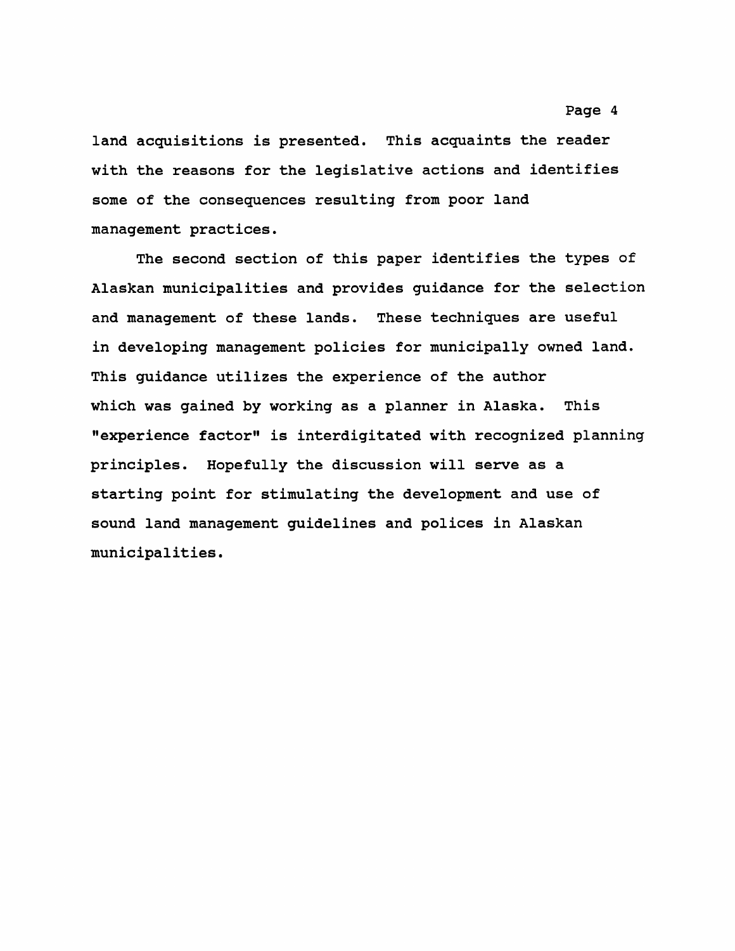**land acquisitions is presented. This acquaints the reader with the reasons for the legislative actions and identifies some of the consequences resulting from poor land management practices.**

**The second section of this paper identifies the types of Alaskan municipalities and provides guidance for the selection and management of these lands. These techniques are useful in developing management policies for municipally owned land. This guidance utilizes the experience of the author which was gained by working as a planner in Alaska. This "experience factor" is interdigitated with recognized planning principles. Hopefully the discussion will serve as a starting point for stimulating the development and use of sound land management guidelines and polices in Alaskan municipalities.**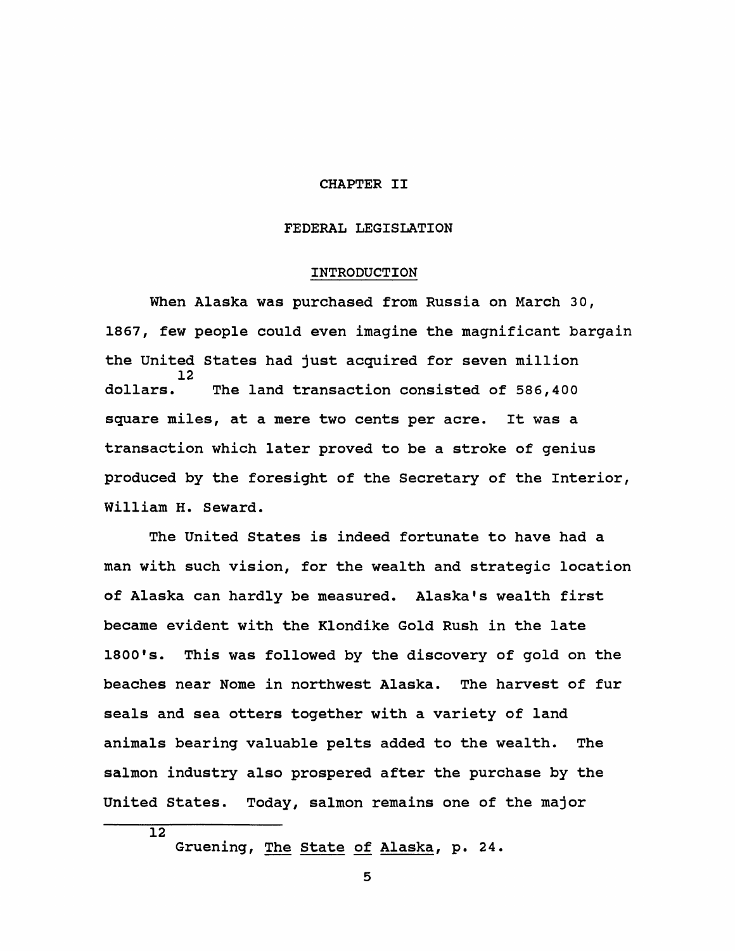#### **CHAPTER II**

#### **FEDERAL LEGISLATION**

#### **INTRODUCTION**

**When Alaska was purchased from Russia on March 30, 1867, few people could even imagine the magnificant bargain the United States had just acquired for seven million 12 dollars. The land transaction consisted of 586,400 square miles, at a mere two cents per acre. It was a transaction which later proved to be a stroke of genius produced by the foresight of the Secretary of the Interior, William H. Seward.**

**The United States is indeed fortunate to have had a man with such vision, for the wealth and strategic location of Alaska can hardly be measured. Alaska's wealth first became evident with the Klondike Gold Rush in the late 1800's. This was followed by the discovery of gold on the beaches near Nome in northwest Alaska. The harvest of fur seals and sea otters together with a variety of land animals bearing valuable pelts added to the wealth. The salmon industry also prospered after the purchase by the United States. Today, salmon remains one of the major**

**Gruening, The State of Alaska, p. 24.**

 $\overline{12}$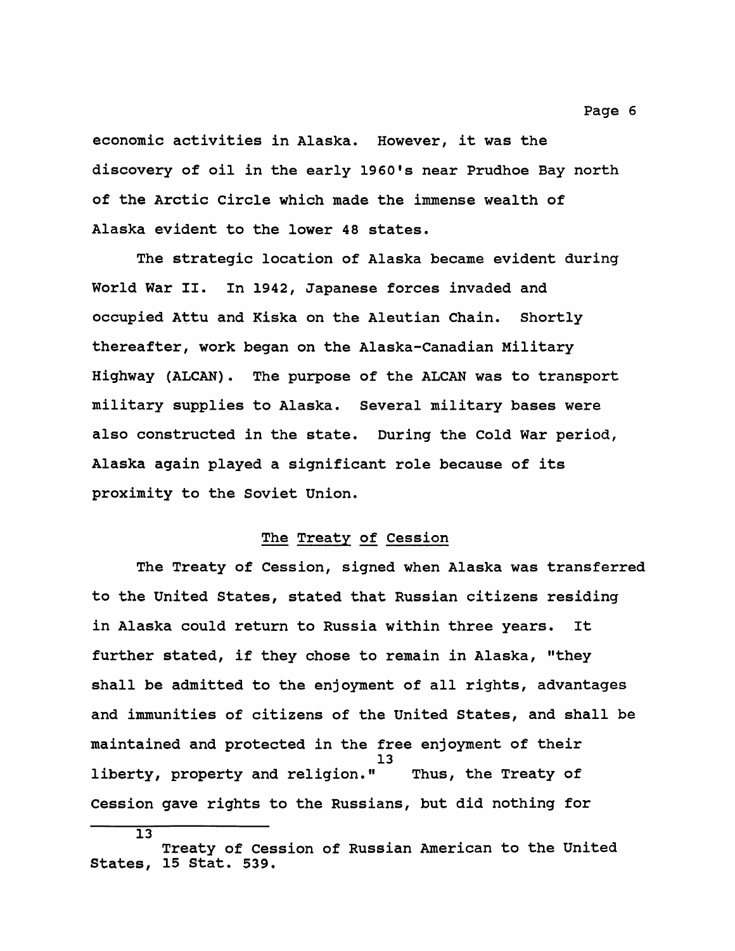**economic activities in Alaska. However, it was the discovery of oil in the early 1960's near Prudhoe Bay north of the Arctic Circle which made the immense wealth of Alaska evident to the lower 48 states.**

**The strategic location of Alaska became evident during World War II. In 1942, Japanese forces invaded and occupied Attu and Kiska on the Aleutian Chain. Shortly thereafter, work began on the Alaska-Canadian Military Highway (ALCAN). The purpose of the ALCAN was to transport military supplies to Alaska. Several military bases were also constructed in the state. During the Cold War period, Alaska again played a significant role because of its proximity to the Soviet Union.**

# **The Treaty of Cession**

**The Treaty of Cession, signed when Alaska was transferred to the United States, stated that Russian citizens residing in Alaska could return to Russia within three years. It further stated, if they chose to remain in Alaska, "they shall be admitted to the enjoyment of all rights, advantages and immunities of citizens of the United States, and shall be maintained and protected in the free enjoyment of their 13 liberty, property and religion." Thus, the Treaty of Cession gave rights to the Russians, but did nothing for**

 $\overline{13}$ 

**Treaty of Cession of Russian American to the United States, 15 Stat. 539.**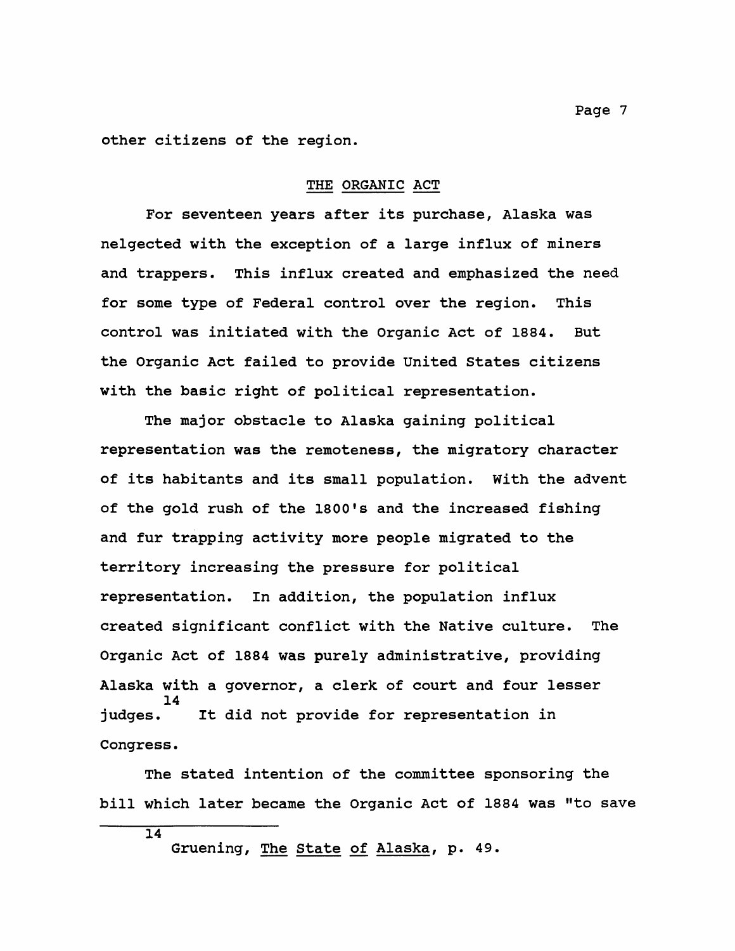**other citizens of the region.**

#### **THE ORGANIC ACT**

**For seventeen years after its purchase, Alaska was nelgected with the exception of a large influx of miners and trappers. This influx created and emphasized the need for some type of Federal control over the region. This control was initiated with the Organic Act of 1884. But the Organic Act failed to provide United States citizens with the basic right of political representation.**

**The major obstacle to Alaska gaining political representation was the remoteness, the migratory character of its habitants and its small population. With the advent of the gold rush of the 1800's and the increased fishing and fur trapping activity more people migrated to the territory increasing the pressure for political representation. In addition, the population influx created significant conflict with the Native culture. The Organic Act of 1884 was purely administrative, providing Alaska with a governor, a clerk of court and four lesser** 14<br>iudqes. It did not provide for representation in **Congress.**

**The stated intention of the committee sponsoring the bill which later became the Organic Act of 1884 was "to save**

**Gruening, The State of Alaska, p. 49.**

 $\overline{14}$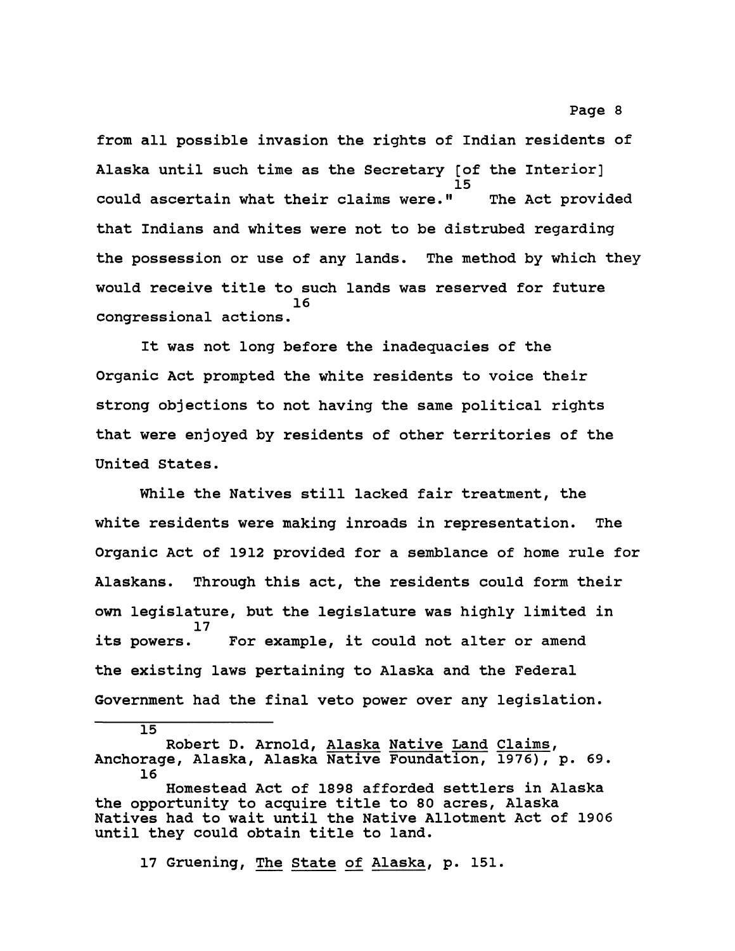**from all possible invasion the rights of Indian residents of Alaska until such time as the Secretary [of the Interior] 15 could ascertain what their claims were.11 The Act provided that Indians and whites were not to be distrubed regarding the possession or use of any lands. The method by which they would receive title to such lands was reserved for future 16 congressional actions.**

**It was not long before the inadequacies of the Organic Act prompted the white residents to voice their strong objections to not having the same political rights that were enjoyed by residents of other territories of the United States.**

**While the Natives still lacked fair treatment, the white residents were making inroads in representation. The Organic Act of 1912 provided for a semblance of home rule for Alaskans. Through this act, the residents could form their own legislature, but the legislature was highly limited in 17 its powers. For example, it could not alter or amend the existing laws pertaining to Alaska and the Federal Government had the final veto power over any legislation.**

**Robert D. Arnold, Alaska Native Land Claims, Anchorage, Alaska, Alaska Native Foundation, 1976), p. 69. 16**

**Homestead Act of 1898 afforded settlers in Alaska the opportunity to acquire title to 80 acres, Alaska Natives had to wait until the Native Allotment Act of 1906 until they could obtain title to land.**

**17 Gruening, The State of Alaska, p. 151.**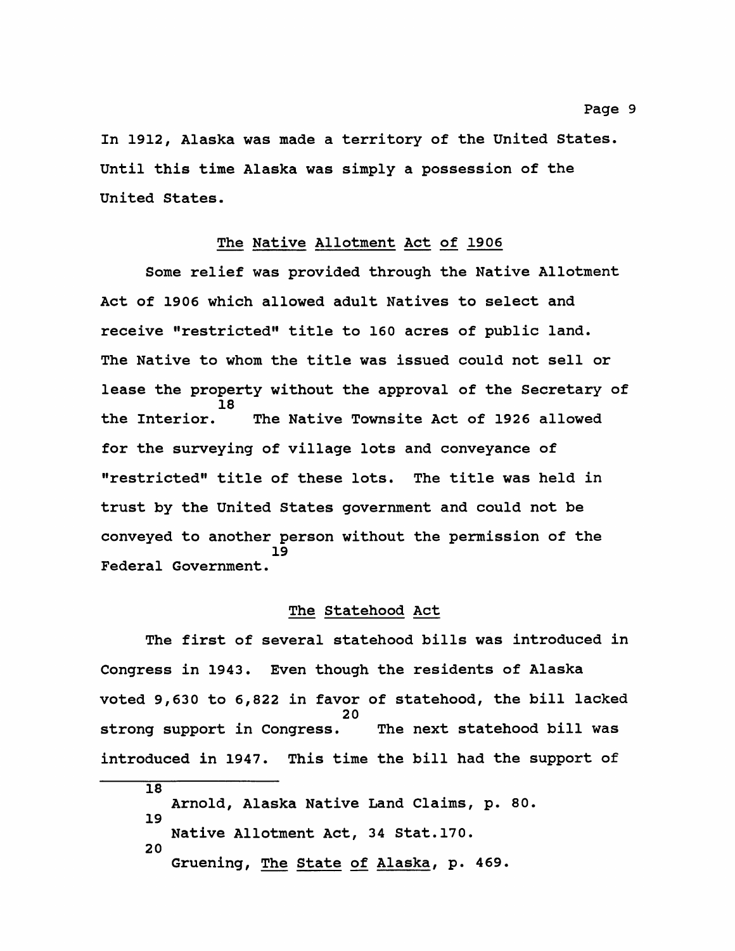**In 1912, Alaska was made a territory of the United States. Until this time Alaska was simply a possession of the United States.**

#### **The Native Allotment Act of 1906**

**Some relief was provided through the Native Allotment Act of 1906 which allowed adult Natives to select and receive "restricted'\* title to 160 acres of public land. The Native to whom the title was issued could not sell or lease the property without the approval of the Secretary of 18 the Interior. The Native Townsite Act of 1926 allowed for the surveying of village lots and conveyance of "restricted" title of these lots. The title was held in trust by the United States government and could not be conveyed to another person without the permission of the 19 Federal Government.**

#### **The Statehood Act**

**The first of several statehood bills was introduced in Congress in 1943. Even though the residents of Alaska voted 9,630 to 6,822 in favor of statehood, the bill lacked 20 strong support in Congress. The next statehood bill was introduced in 1947. This time the bill had the support of**

**18 Arnold, Alaska Native Land Claims, p. 80. 19 Native Allotment Act, 34 Stat.170. 20 Gruening, The State of Alaska, p. 469.**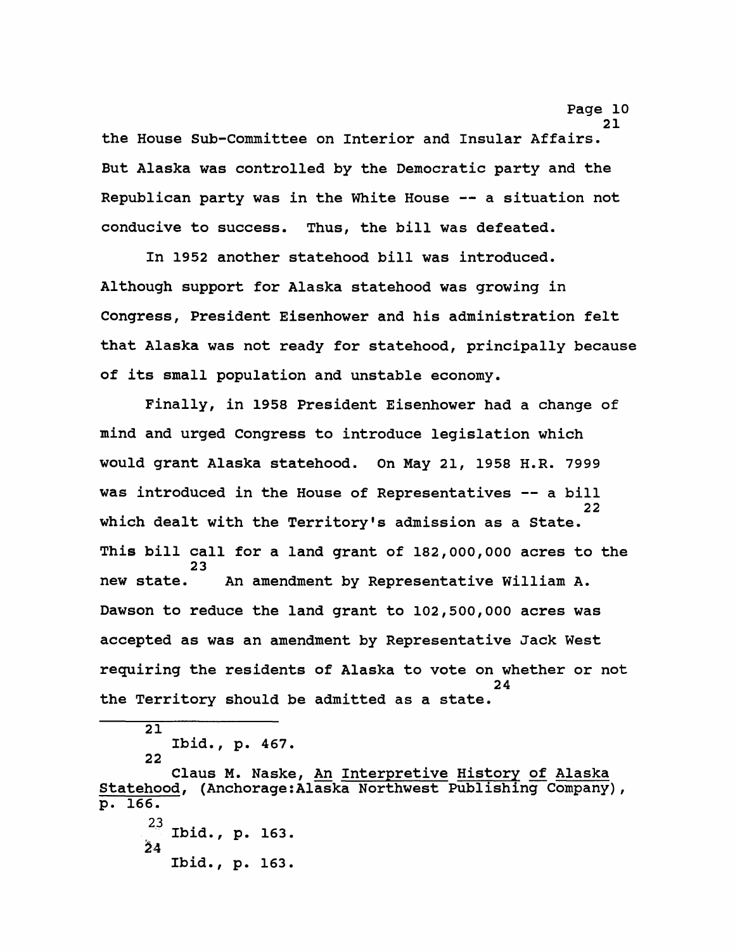**the House Sub-Committee on Interior and Insular Affairs. But Alaska was controlled by the Democratic party and the Republican party was in the White House — a situation not conducive to success. Thus, the bill was defeated.**

**In 1952 another statehood bill was introduced. Although support for Alaska statehood was growing in Congress, President Eisenhower and his administration felt that Alaska was not ready for statehood, principally because of its small population and unstable economy.**

**Finally, in 1958 President Eisenhower had a change of mind and urged Congress to introduce legislation which would grant Alaska statehood. On May 21, 1958 H.R. 7999 was introduced in the House of Representatives — a bill** <sup>22</sup> **which dealt with the Territory's admission as a State. This bill call for a land grant of 182,000,000 acres to the** 23<br>new state. An amendment by Representative William A. **Dawson to reduce the land grant to 102,500,000 acres was accepted as was an amendment by Representative Jack West requiring the residents of Alaska to vote on whether or not 24 the Territory should be admitted as a state.**

**21 Ibid., p. 467. 22**

**Claus M. Naske, An Interpretive History of Alaska Statehood, (Anchorage:Alaska Northwest Publishing Company), p. 166. 23 Ibid., p. 163. 54**

**Ibid., p. 163.**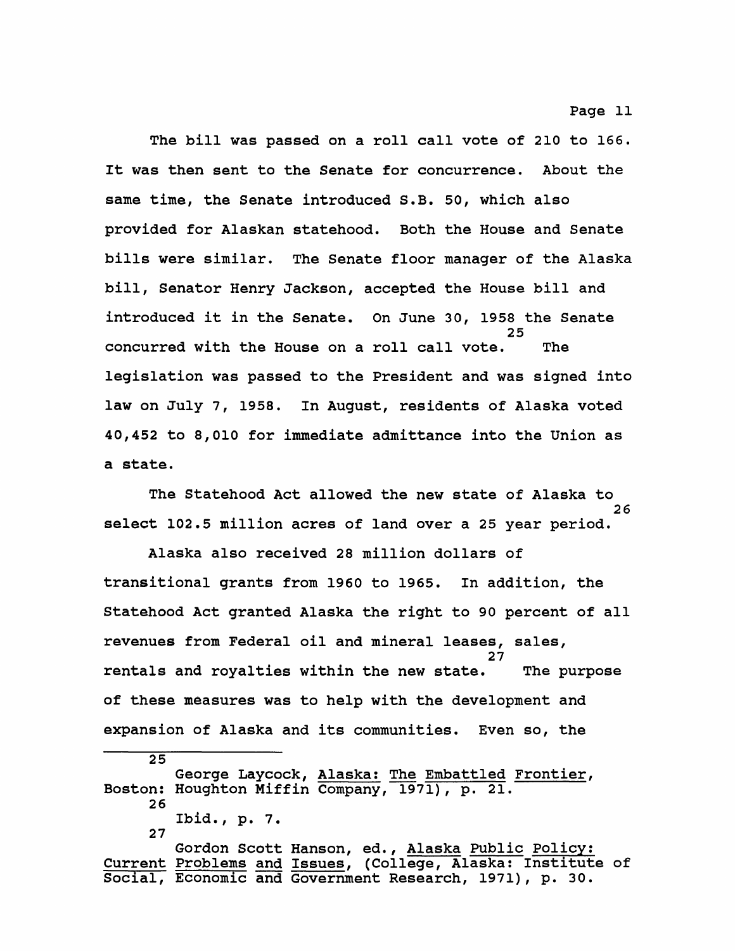**The bill was passed on a roll call vote of 210 to 166. It was then sent to the Senate for concurrence. About the same time, the Senate introduced S.B. 50, which also provided for Alaskan statehood. Both the House and Senate bills were similar. The Senate floor manager of the Alaska bill, Senator Henry Jackson, accepted the House bill and introduced it in the Senate. On June 30, 1958 the Senate 25 concurred with the House on a roll call vote. The legislation was passed to the President and was signed into law on July 7, 1958. In August, residents of Alaska voted 40,452 to 8,010 for immediate admittance into the Union as a state.**

**The Statehood Act allowed the new state of Alaska to 26 select 102.5 million acres of land over a 25 year period.**

**Alaska also received 28 million dollars of transitional grants from 1960 to 1965. In addition, the Statehood Act granted Alaska the right to 90 percent of all revenues from Federal oil and mineral leases, sales, 27 rentals and royalties within the new state. The purpose of these measures was to help with the development and expansion of Alaska and its communities. Even so, the**

**25 George Laycock, Alaska: The Embattled Frontier, Boston: Houghton Miffin Company, 1971), p. 21. 26 Ibid., p. 7. 27 Gordon Scott Hanson, ed., Alaska Public Policy:**

**Current Problems and Issues, (College, Alaska: Institute of Social, Economic and Government Research, 1971), p. 30.**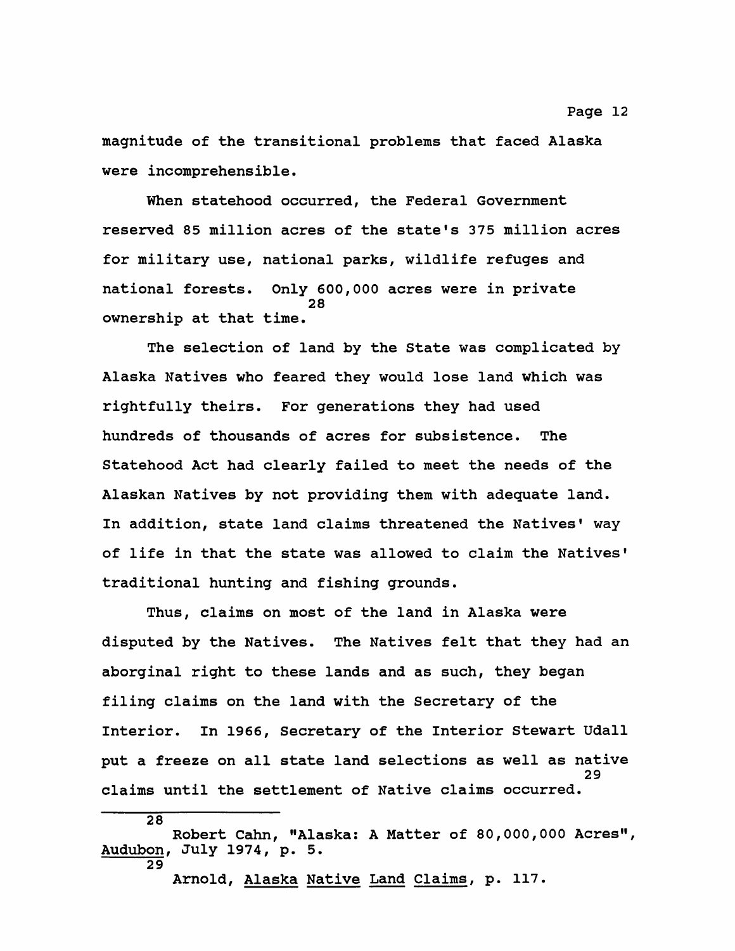**magnitude of the transitional problems that faced Alaska were incomprehensible.**

**When statehood occurred, the Federal Government reserved 85 million acres of the state's 375 million acres for military use, national parks, wildlife refuges and national forests. Only 600,000 acres were in private 28 ownership at that time.**

**The selection of land by the State was complicated by Alaska Natives who feared they would lose land which was rightfully theirs. For generations they had used hundreds of thousands of acres for subsistence. The Statehood Act had clearly failed to meet the needs of the Alaskan Natives by not providing them with adequate land. In addition, state land claims threatened the Natives' way of life in that the state was allowed to claim the Natives' traditional hunting and fishing grounds.**

**Thus, claims on most of the land in Alaska were disputed by the Natives. The Natives felt that they had an aborginal right to these lands and as such, they began filing claims on the land with the Secretary of the Interior. In 1966, Secretary of the Interior Stewart Udall put a freeze on all state land selections as well as native 29 claims until the settlement of Native claims occurred.**

**Arnold, Alaska Native Land Claims, p. 117.**

**Robert Cahn, "Alaska: A Matter of 80,000,000 Acres", Audubon, July 1974, p. 5. 29**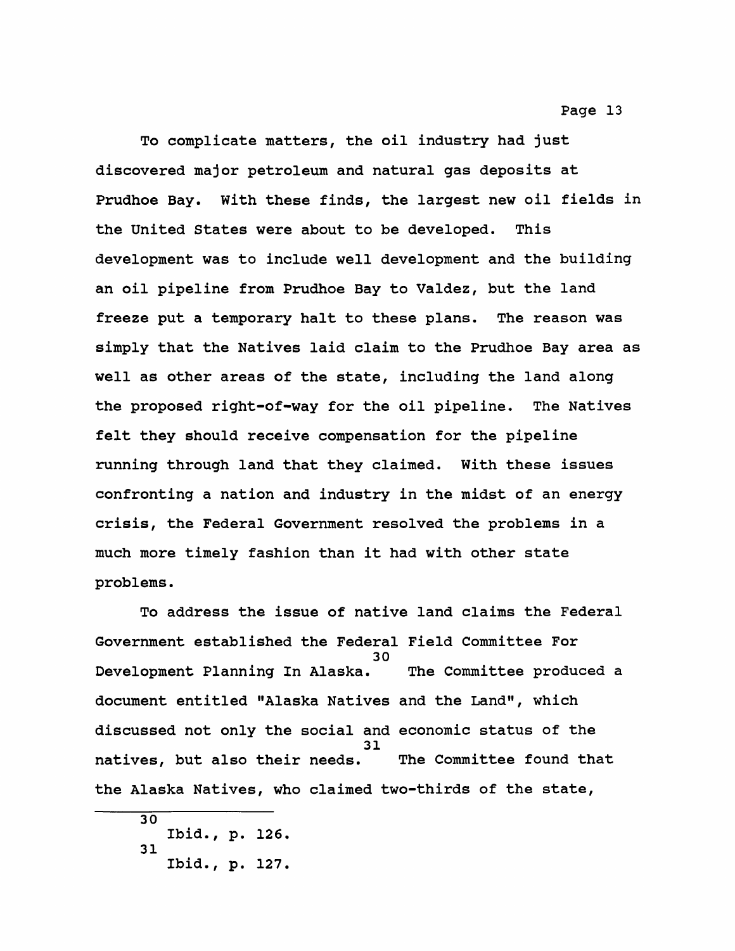**To complicate matters, the oil industry had just discovered major petroleum and natural gas deposits at Prudhoe Bay. With these finds, the largest new oil fields in the United States were about to be developed. This development was to include well development and the building an oil pipeline from Prudhoe Bay to Valdez, but the land freeze put a temporary halt to these plans. The reason was simply that the Natives laid claim to the Prudhoe Bay area as well as other areas of the state, including the land along the proposed right-of-way for the oil pipeline. The Natives felt they should receive compensation for the pipeline running through land that they claimed. With these issues confronting a nation and industry in the midst of an energy crisis, the Federal Government resolved the problems in a much more timely fashion than it had with other state problems.**

**To address the issue of native land claims the Federal Government established the Federal Field Committee For 30 Development Planning In Alaska. The Committee produced a document entitled "Alaska Natives and the Land", which discussed not only the social and economic status of the 31 natives, but also their needs. The Committee found that the Alaska Natives, who claimed two-thirds of the state,**

**30 Ibid., p. 126. 31 Ibid., p. 127.**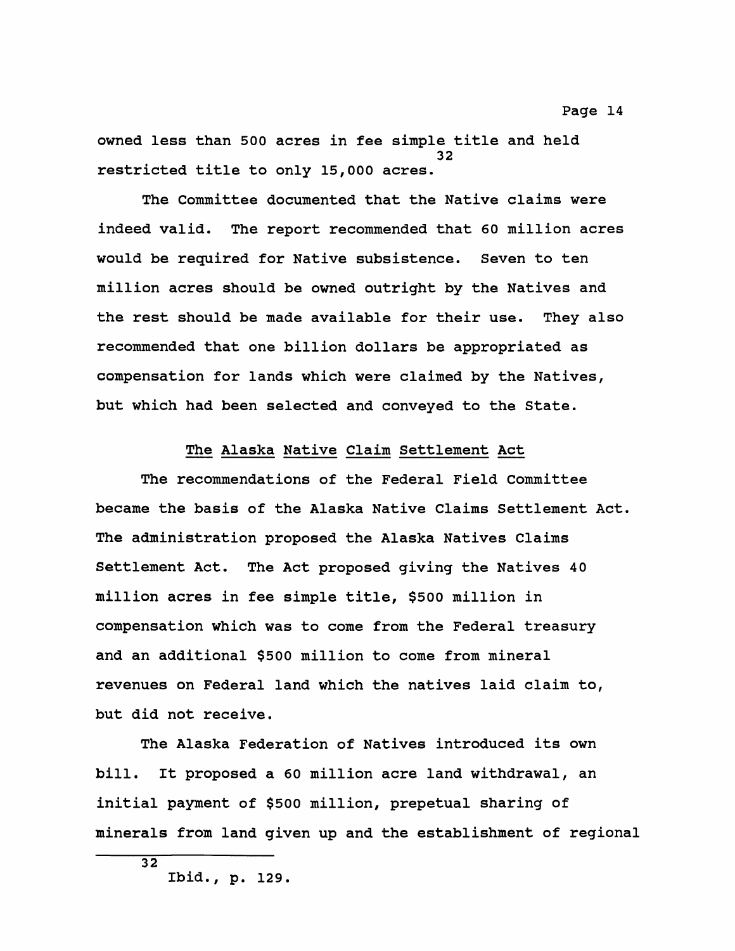**owned less than 500 acres in fee simple title and held 32 restricted title to only 15,000 acres.**

**The Committee documented that the Native claims were indeed valid. The report recommended that 60 million acres would be required for Native subsistence. Seven to ten million acres should be owned outright by the Natives and the rest should be made available for their use. They also recommended that one billion dollars be appropriated as compensation for lands which were claimed by the Natives, but which had been selected and conveyed to the State.**

# **The Alaska Native Claim Settlement Act**

**The recommendations of the Federal Field Committee became the basis of the Alaska Native Claims Settlement Act. The administration proposed the Alaska Natives Claims Settlement Act. The Act proposed giving the Natives 40 million acres in fee simple title, \$500 million in compensation which was to come from the Federal treasury and an additional \$500 million to come from mineral revenues on Federal land which the natives laid claim to, but did not receive.**

**The Alaska Federation of Natives introduced its own bill. It proposed a 60 million acre land withdrawal, an initial payment of \$500 million, prepetual sharing of minerals from land given up and the establishment of regional**

**<sup>32</sup> Ibid., p. 129.**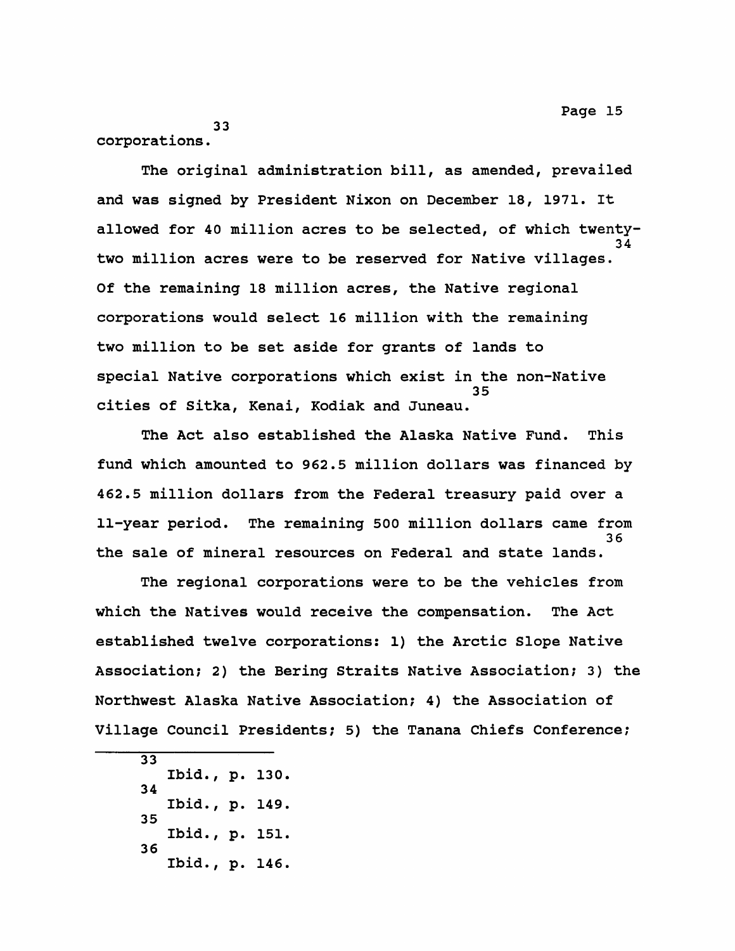**33 corporations.**

**The original administration bill, as amended, prevailed and was signed by President Nixon on December 18, 1971. It allowed for 40 million acres to be selected, of which twenty-34 two million acres were to be reserved for Native villages. Of the remaining 18 million acres, the Native regional corporations would select 16 million with the remaining two million to be set aside for grants of lands to special Native corporations which exist in the non-Native 35 cities of Sitka, Kenai, Kodiak and Juneau.**

**The Act also established the Alaska Native Fund. This fund which amounted to 962.5 million dollars was financed by 462.5 million dollars from the Federal treasury paid over a 11-year period. The remaining 500 million dollars came from 36 the sale of mineral resources on Federal and state lands.**

**The regional corporations were to be the vehicles from which the Natives would receive the compensation. The Act established twelve corporations: 1) the Arctic Slope Native Association; 2) the Bering Straits Native Association; 3) the Northwest Alaska Native Association; 4) the Association of Village Council Presidents; 5) the Tanana Chiefs Conference;**

**33 Ibid., p. 130. 34 Ibid., p. 149. 35 Ibid., p. 151. 36 Ibid., p. 146.**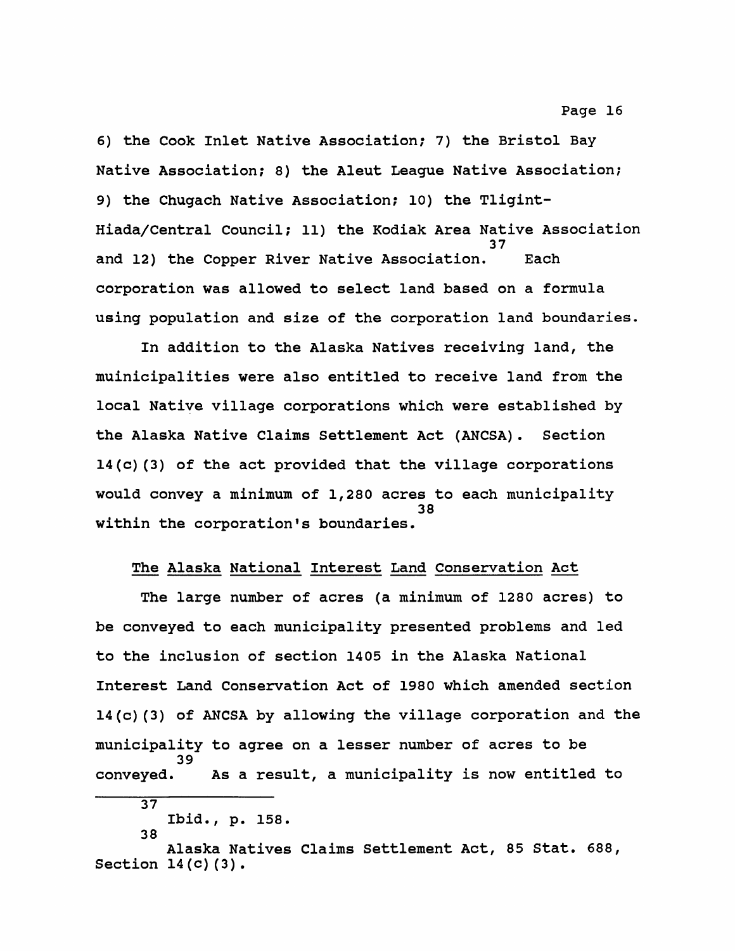**6) the Cook Inlet Native Association; 7) the Bristol Bay Native Association; 8) the Aleut League Native Association; 9) the Chugach Native Association; 10) the Tligint-Hiada/Central Council; 11) the Kodiak Area Native Association 37 and 12) the Copper River Native Association. Each corporation was allowed to select land based on a formula using population and size of the corporation land boundaries.**

**In addition to the Alaska Natives receiving land, the muinicipalities were also entitled to receive land from the local Native village corporations which were established by the Alaska Native Claims Settlement Act (ANCSA). Section 14(c)(3) of the act provided that the village corporations would convey a minimum of 1,280 acres to each municipality 38** within the corporation's boundaries.

# **The Alaska National Interest Land Conservation Act**

**The large number of acres (a minimum of 1280 acres) to be conveyed to each municipality presented problems and led to the inclusion of section 1405 in the Alaska National Interest Land Conservation Act of 1980 which amended section 14(c)(3) of ANCSA by allowing the village corporation and the municipality to agree on a lesser number of acres to be 39 conveyed. As a result, a municipality is now entitled to**

**Ibid., p. 158. 38**

**Alaska Natives Claims Settlement Act, 85 Stat. 688, Section 14(c)(3).**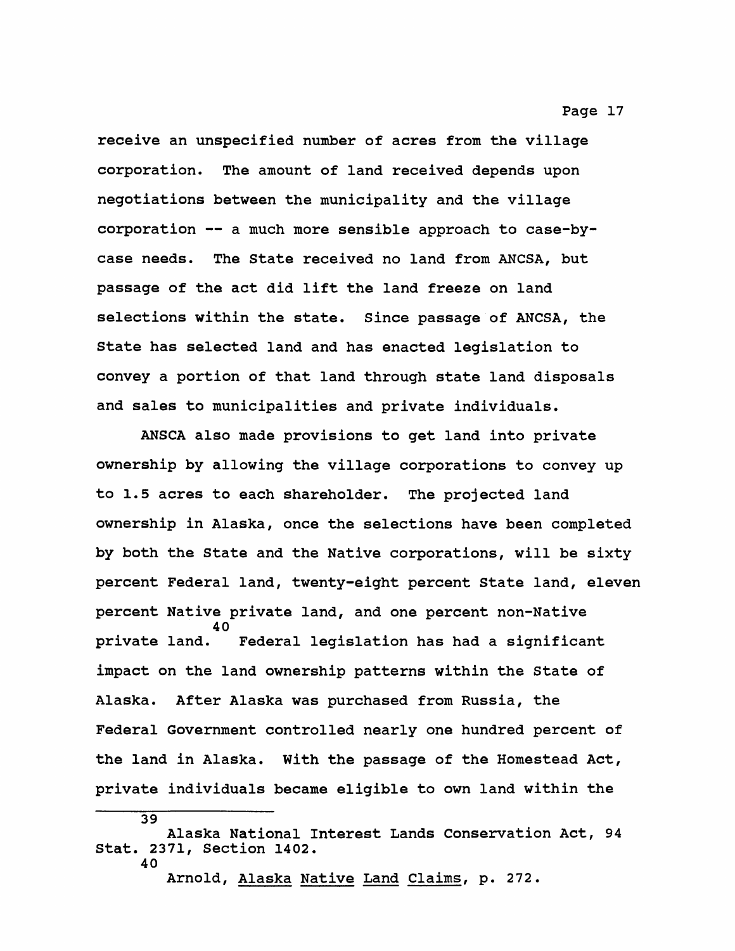**receive an unspecified number of acres from the village corporation. The amount of land received depends upon negotiations between the municipality and the village corporation — a much more sensible approach to case-bycase needs. The State received no land from ANCSA, but passage of the act did lift the land freeze on land selections within the state. Since passage of ANCSA, the State has selected land and has enacted legislation to convey a portion of that land through state land disposals and sales to municipalities and private individuals.**

**ANSCA also made provisions to get land into private ownership by allowing the village corporations to convey up to 1.5 acres to each shareholder. The projected land ownership in Alaska, once the selections have been completed by both the State and the Native corporations, will be sixty percent Federal land, twenty-eight percent State land, eleven percent Native private land, and one percent non-Native 40 private land. Federal legislation has had a significant impact on the land ownership patterns within the State of Alaska. After Alaska was purchased from Russia, the Federal Government controlled nearly one hundred percent of the land in Alaska. With the passage of the Homestead Act, private individuals became eligible to own land within the**

**39**

**Arnold, Alaska Native Land Claims, p. 272.**

**Alaska National Interest Lands Conservation Act, 94 Stat. 2371, Section 1402. 40**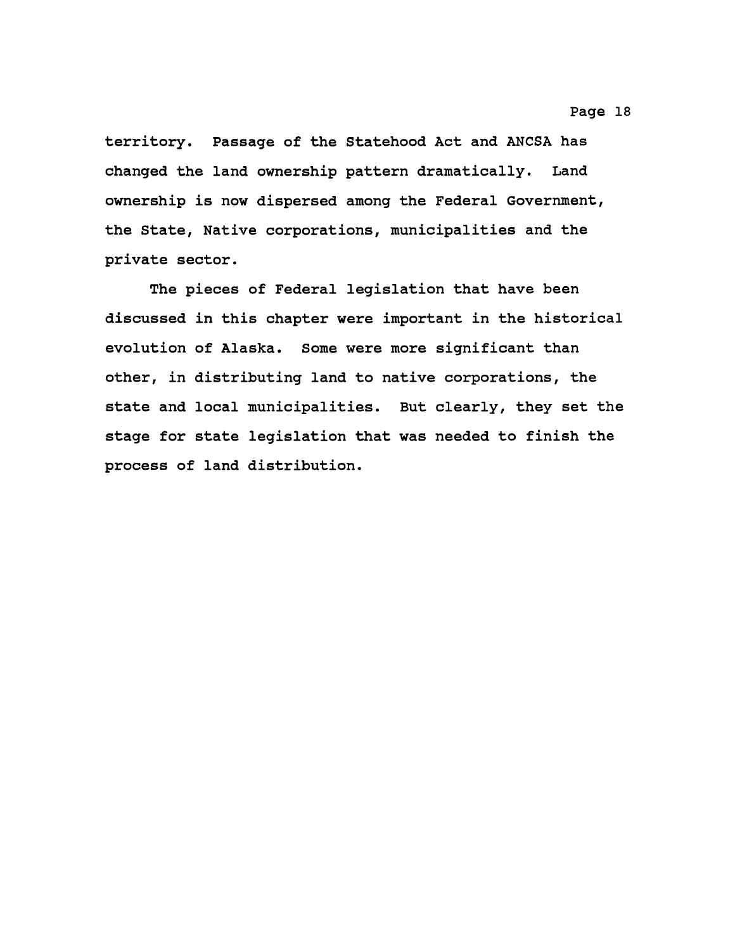**territory. Passage of the Statehood Act and ANCSA has changed the land ownership pattern dramatically. Land ownership is now dispersed among the Federal Government, the State, Native corporations, municipalities and the private sector.**

**The pieces of Federal legislation that have been discussed in this chapter were important in the historical evolution of Alaska. Some were more significant than other, in distributing land to native corporations, the state and local municipalities. But clearly, they set the stage for state legislation that was needed to finish the process of land distribution.**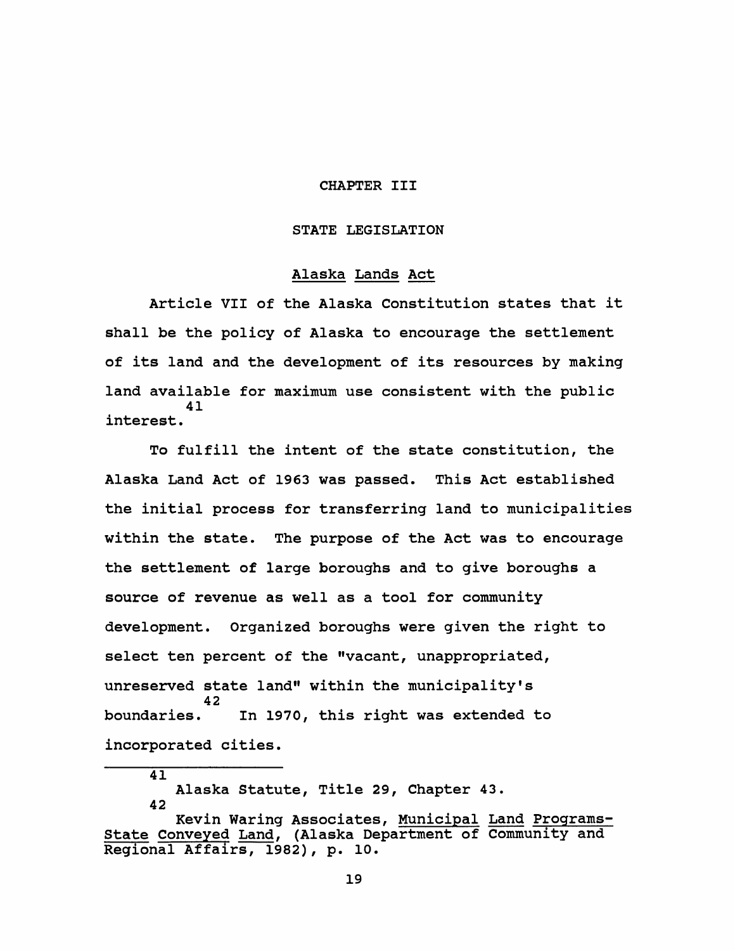#### **CHAPTER III**

#### **STATE LEGISLATION**

#### **Alaska Lands Act**

**Article VII of the Alaska Constitution states that it shall be the policy of Alaska to encourage the settlement of its land and the development of its resources by making land available for maximum use consistent with the public 41 interest.**

**To fulfill the intent of the state constitution, the Alaska Land Act of 1963 was passed. This Act established the initial process for transferring land to municipalities within the state. The purpose of the Act was to encourage the settlement of large boroughs and to give boroughs a source of revenue as well as a tool for community development. Organized boroughs were given the right to select ten percent of the "vacant, unappropriated,** unreserved state land" within the municipality's 42<br>**boundaries. boundaries. In 1970, this right was extended to incorporated cities.**

**41**

**Alaska Statute, Title 29, Chapter 43. 42**

**Kevin Waring Associates, Municipal Land Programs-State Conveyed Land, (Alaska Department of Community and Regional Affairs, 1982), p. 10.**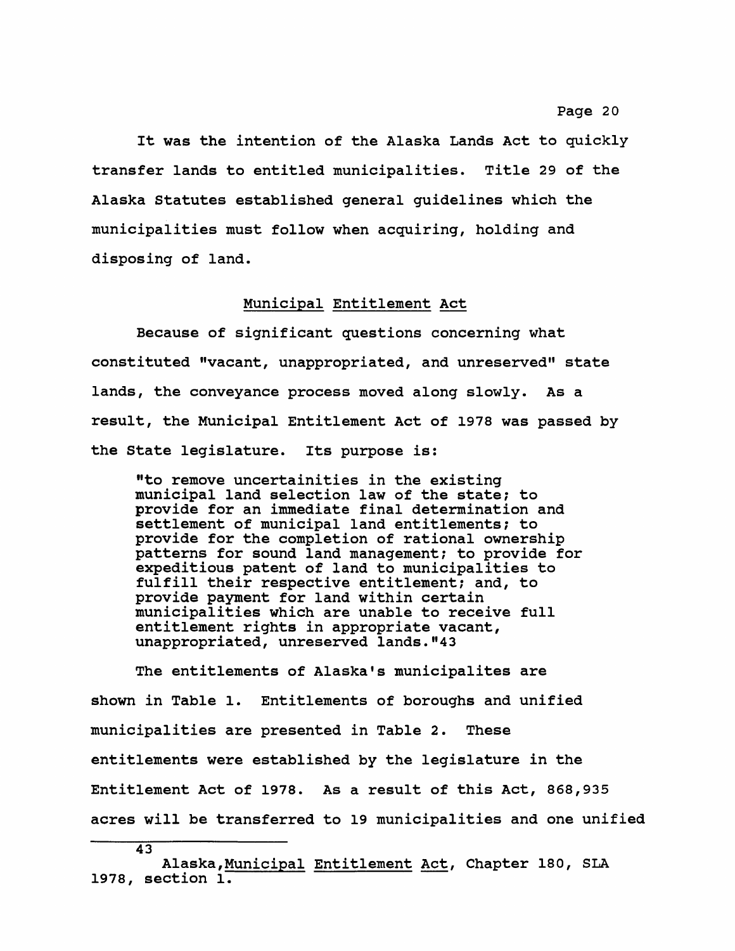**It was the intention of the Alaska Lands Act to quickly transfer lands to entitled municipalities. Title 29 of the Alaska Statutes established general guidelines which the municipalities must follow when acquiring, holding and disposing of land.**

#### **Municipal Entitlement Act**

**Because of significant questions concerning what constituted "vacant, unappropriated, and unreserved" state lands, the conveyance process moved along slowly. As a result, the Municipal Entitlement Act of 1978 was passed by the State legislature. Its purpose is:**

**"to remove uncertainities in the existing municipal land selection law of the state? to provide for an immediate final determination and settlement of municipal land entitlements; to provide for the completion of rational ownership patterns for sound land management; to provide for expeditious patent of land to municipalities to fulfill their respective entitlement? and, to provide payment for land within certain municipalities which are unable to receive full entitlement rights in appropriate vacant, unappropriated, unreserved lands."43**

**The entitlements of Alaska's municipalites are shown in Table 1. Entitlements of boroughs and unified municipalities are presented in Table 2. These entitlements were established by the legislature in the Entitlement Act of 1978. As a result of this Act, 868,935 acres will be transferred to 19 municipalities and one unified**

**Alaska,Municipal Entitlement Act, Chapter 180, SLA 1978, section 1.**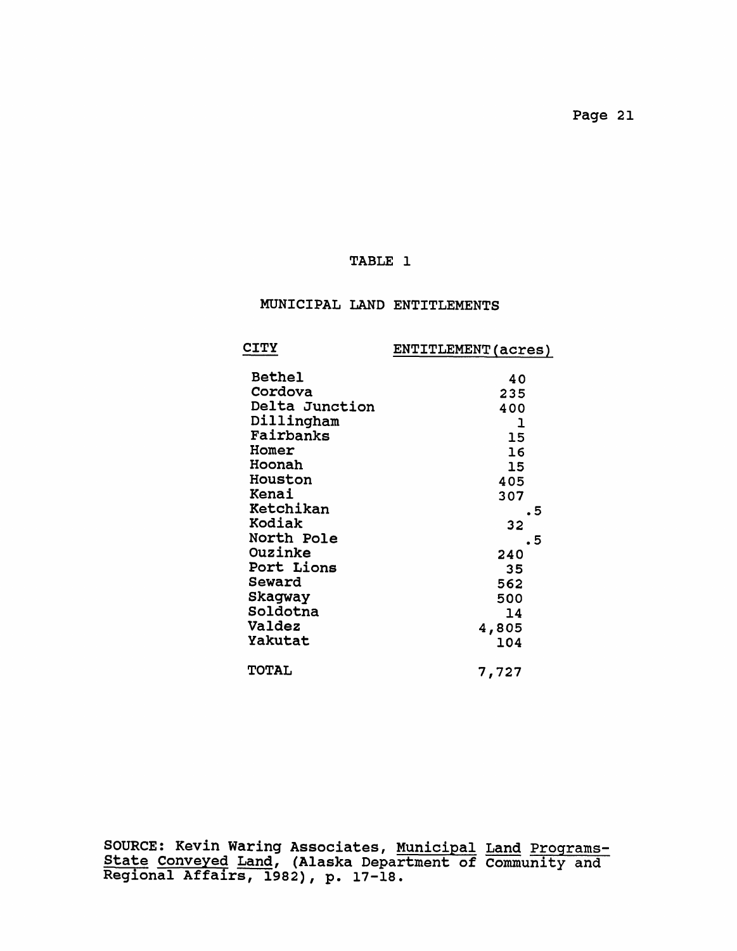# **TABLE 1**

# **MUNICIPAL LAND ENTITLEMENTS**

|                                                                                                                                                                                                                                                    | ENTITLEMENT (acres)                                                                                               |
|----------------------------------------------------------------------------------------------------------------------------------------------------------------------------------------------------------------------------------------------------|-------------------------------------------------------------------------------------------------------------------|
| <b>CITY</b><br><b>Bethel</b><br>Cordova<br>Delta Junction<br>Dillingham<br>Fairbanks<br>Homer<br>Hoonah<br><b>Houston</b><br>Kenai<br>Ketchikan<br>Kodiak<br>North Pole<br>Ouzinke<br>Port Lions<br>Seward<br>Skagway<br>Soldotna<br><b>Valdez</b> | 40<br>235<br>400<br>1<br>15<br>16<br>15<br>405<br>307<br>5<br>32<br>. 5<br>240<br>35<br>562<br>500<br>14<br>4,805 |
| Yakutat<br><b>TOTAL</b>                                                                                                                                                                                                                            | 104<br>7,727                                                                                                      |
|                                                                                                                                                                                                                                                    |                                                                                                                   |

**SOURCE: Kevin Waring Associates, Municipal Land Programs-State Conveyed Land, (Alaska Department of Community and Regional Affairs, 1982), p. 17-18.**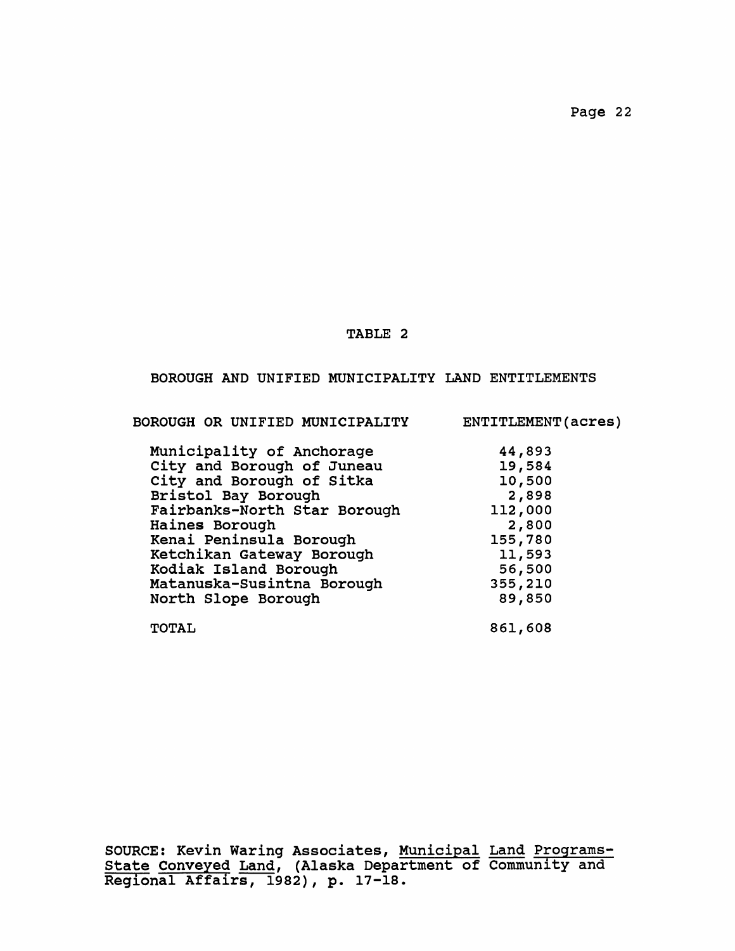#### **TABLE 2**

# **BOROUGH AND UNIFIED MUNICIPALITY LAND ENTITLEMENTS**

**BOROUGH OR UNIFIED MUNICIPALITY ENTITLEMENT(acres)**

| Municipality of Anchorage    | 44,893  |
|------------------------------|---------|
| City and Borough of Juneau   | 19,584  |
| City and Borough of Sitka    | 10,500  |
| Bristol Bay Borough          | 2,898   |
| Fairbanks-North Star Borough | 112,000 |
| Haines Borough               | 2,800   |
| Kenai Peninsula Borough      | 155,780 |
| Ketchikan Gateway Borough    | 11,593  |
| Kodiak Island Borough        | 56,500  |
| Matanuska-Susintna Borough   | 355,210 |
| North Slope Borough          | 89,850  |
| <b>TOTAL</b>                 | 861,608 |

**SOURCE: Kevin Waring Associates, Municipal Land Programs-State Conveyed Land, (Alaska Department of Community and Regional Affairs, 1982), p. 17-18.**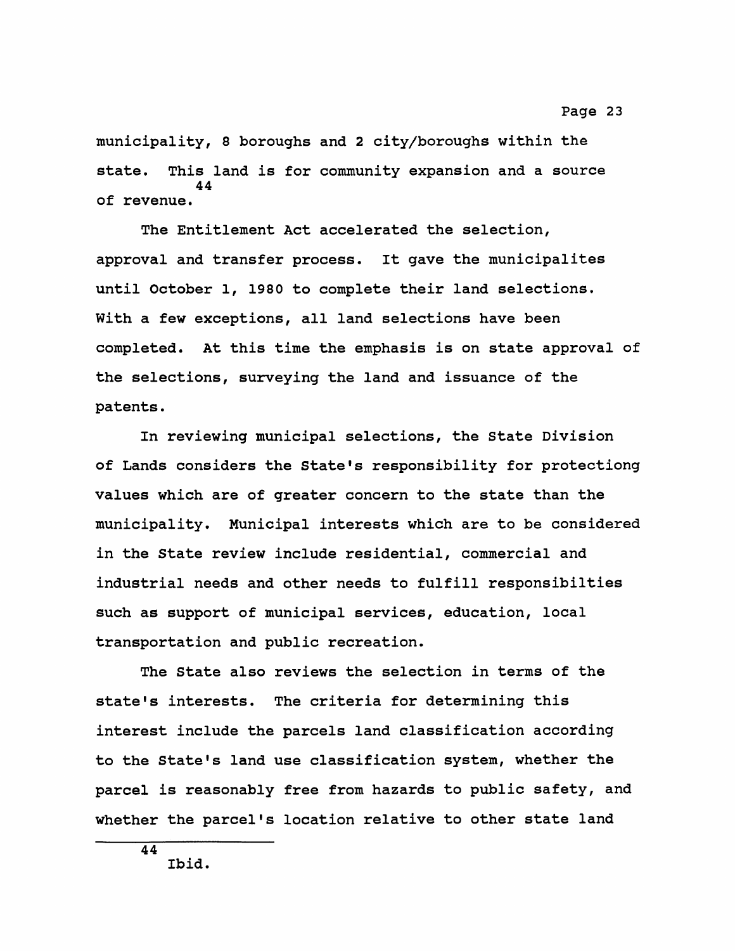**municipality, 8 boroughs and 2 city/boroughs within the state. This land is for community expansion and a source 44 of revenue.**

**The Entitlement Act accelerated the selection, approval and transfer process. It gave the municipalites until October 1, 1980 to complete their land selections. With a few exceptions, all land selections have been completed. At this time the emphasis is on state approval of the selections, surveying the land and issuance of the patents.**

**In reviewing municipal selections, the State Division of Lands considers the State's responsibility for protectiong values which are of greater concern to the state than the municipality. Municipal interests which are to be considered in the State review include residential, commercial and industrial needs and other needs to fulfill responsibilties such as support of municipal services, education, local transportation and public recreation.**

**The State also reviews the selection in terms of the state's interests. The criteria for determining this interest include the parcels land classification according to the State's land use classification system, whether the parcel is reasonably free from hazards to public safety, and whether the parcel's location relative to other state land**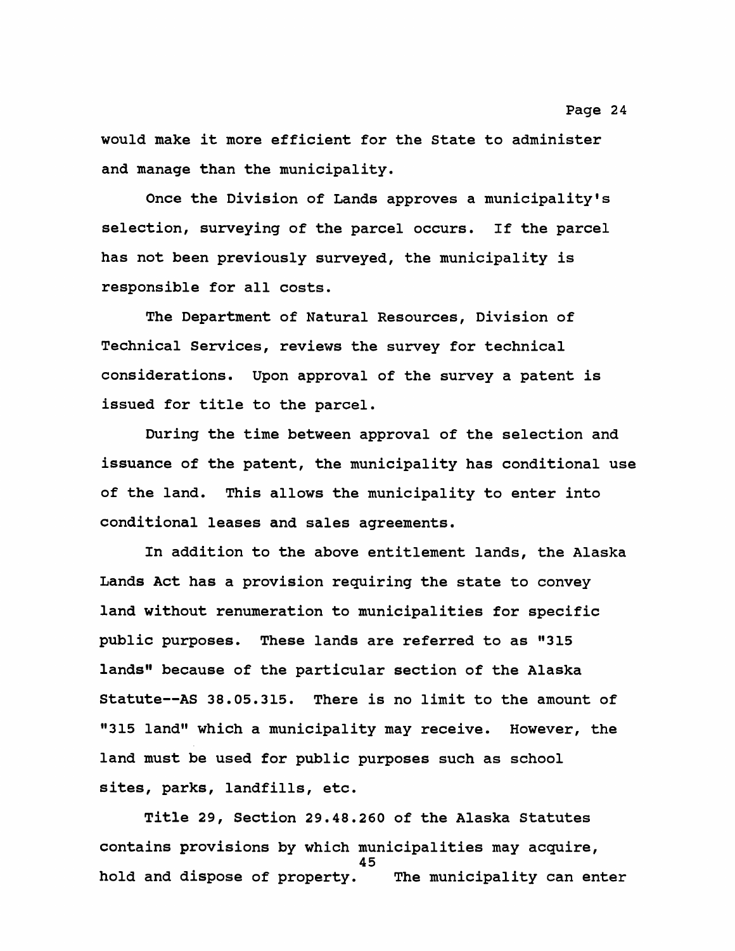**would make it more efficient for the State to administer and manage than the municipality.**

**Once the Division of Lands approves a municipality's selection, surveying of the parcel occurs. If the parcel has not been previously surveyed, the municipality is responsible for all costs.**

**The Department of Natural Resources, Division of Technical Services, reviews the survey for technical considerations. Upon approval of the survey a patent is issued for title to the parcel.**

**During the time between approval of the selection and issuance of the patent, the municipality has conditional use of the land. This allows the municipality to enter into conditional leases and sales agreements.**

**In addition to the above entitlement lands, the Alaska Lands Act has a provision requiring the state to convey land without renumeration to municipalities for specific public purposes. These lands are referred to as "315 lands" because of the particular section of the Alaska Statute— AS 38.05.315. There is no limit to the amount of "315 land" which a municipality may receive. However, the land must be used for public purposes such as school sites, parks, landfills, etc.**

**Title 29, Section 29.48.260 of the Alaska Statutes contains provisions by which municipalities may acquire, 45 hold and dispose of property. The municipality can enter**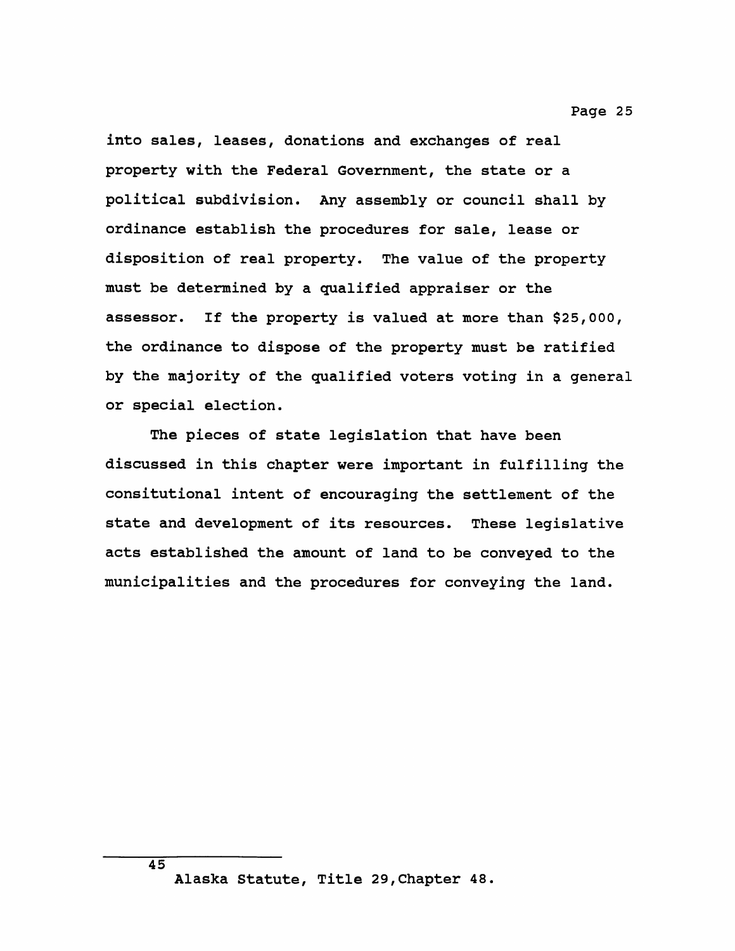**into sales, leases, donations and exchanges of real property with the Federal Government, the state or a political subdivision. Any assembly or council shall by ordinance establish the procedures for sale, lease or disposition of real property. The value of the property must be determined by a qualified appraiser or the assessor. If the property is valued at more than \$25,000, the ordinance to dispose of the property must be ratified by the majority of the qualified voters voting in a general or special election.**

**The pieces of state legislation that have been discussed in this chapter were important in fulfilling the consitutional intent of encouraging the settlement of the state and development of its resources. These legislative acts established the amount of land to be conveyed to the municipalities and the procedures for conveying the land.**

**Alaska Statute, Title 29,Chapter 48.**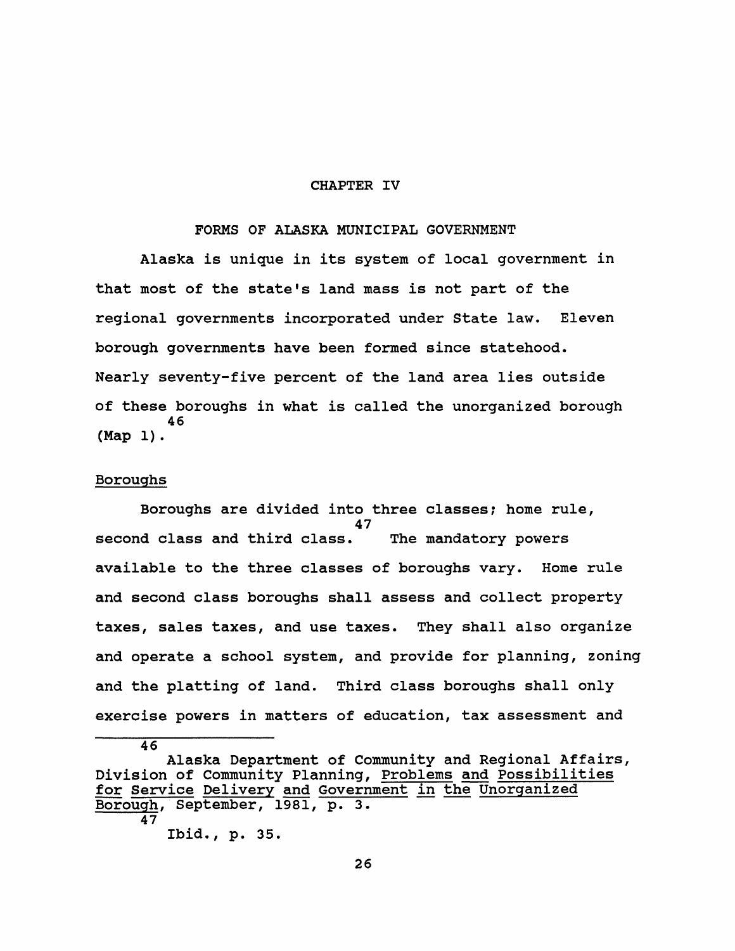#### **CHAPTER IV**

#### **FORMS OF ALASKA MUNICIPAL GOVERNMENT**

**Alaska is unique in its system of local government in that most of the state's land mass is not part of the regional governments incorporated under State law. Eleven borough governments have been formed since statehood. Nearly seventy-five percent of the land area lies outside of these boroughs in what is called the unorganized borough 46 (Map 1).**

#### **Boroughs**

**Boroughs are divided into three classes? home rule, 47 second class and third class. The mandatory powers available to the three classes of boroughs vary. Home rule and second class boroughs shall assess and collect property taxes, sales taxes, and use taxes. They shall also organize and operate a school system, and provide for planning, zoning and the platting of land. Third class boroughs shall only exercise powers in matters of education, tax assessment and**

**46 Alaska Department of Community and Regional Affairs, Division of Community Planning, Problems and Possibilities for Service Delivery and Government in the Unorganized Borough, September, 1981, p. 3. 47 Ibid., p. 35.**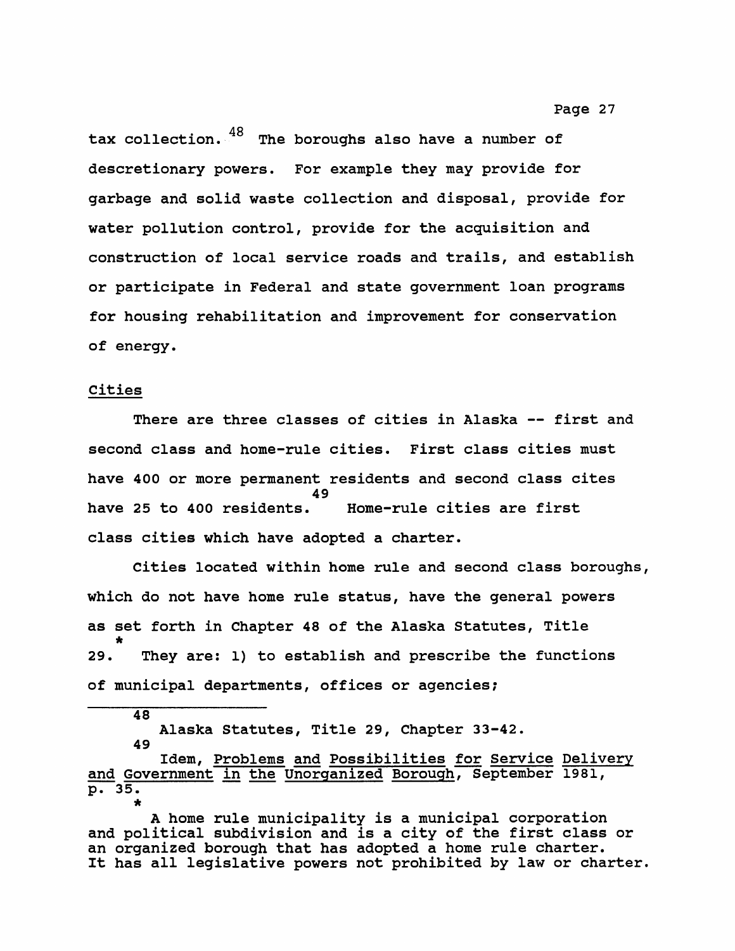tax collection. <sup>48</sup> The boroughs also have a number of **descretionary powers. For example they may provide for garbage and solid waste collection and disposal, provide for water pollution control, provide for the acquisition and construction of local service roads and trails, and establish or participate in Federal and state government loan programs for housing rehabilitation and improvement for conservation of energy.**

#### **Cities**

**There are three classes of cities in Alaska — first and second class and home-rule cities. First class cities must have 400 or more permanent residents and second class cites** 49<br>**have 25 to 400 residents. have 25 to 400 residents. Home-rule cities are first class cities which have adopted a charter.**

**Cities located within home rule and second class boroughs, which do not have home rule status, have the general powers as set forth in Chapter 48 of the Alaska Statutes, Title \* 29. They are: 1) to establish and prescribe the functions of municipal departments, offices or agencies;**

**48**

**Alaska Statutes, Title 29, Chapter 33-42.**

**49**

**Idem, Problems and Possibilities for Service Delivery and Government in the Unorganized Borough, September 1981, p. 35. \***

**A home rule municipality is a municipal corporation and political subdivision and is a city of the first class or an organized borough that has adopted a home rule charter. It has all legislative powers not prohibited by law or charter.**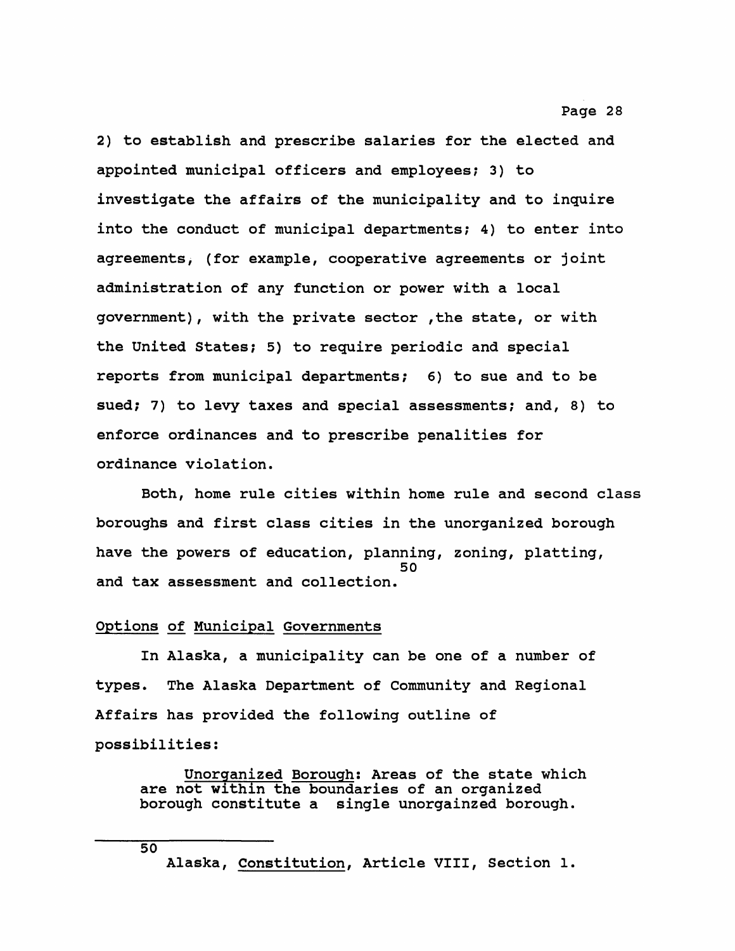**2) to establish and prescribe salaries for the elected and appointed municipal officers and employees? 3) to investigate the affairs of the municipality and to inquire into the conduct of municipal departments; 4) to enter into agreements, (for example, cooperative agreements or joint administration of any function or power with a local government), with the private sector ,the state, or with the United States; 5) to require periodic and special reports from municipal departments; 6) to sue and to be sued; 7) to levy taxes and special assessments? and, 8) to enforce ordinances and to prescribe penalities for ordinance violation.**

**Both, home rule cities within home rule and second class boroughs and first class cities in the unorganized borough have the powers of education, planning, zoning, platting, 50 and tax assessment and collection.**

#### **Options of Municipal Governments**

**50**

**In Alaska, a municipality can be one of a number of types. The Alaska Department of Community and Regional Affairs has provided the following outline of possibilities:**

**Unorganized Borough: Areas of the state which are not within the boundaries of an organized borough constitute a single unorgainzed borough.**

**Alaska, Constitution, Article VIII, Section 1.**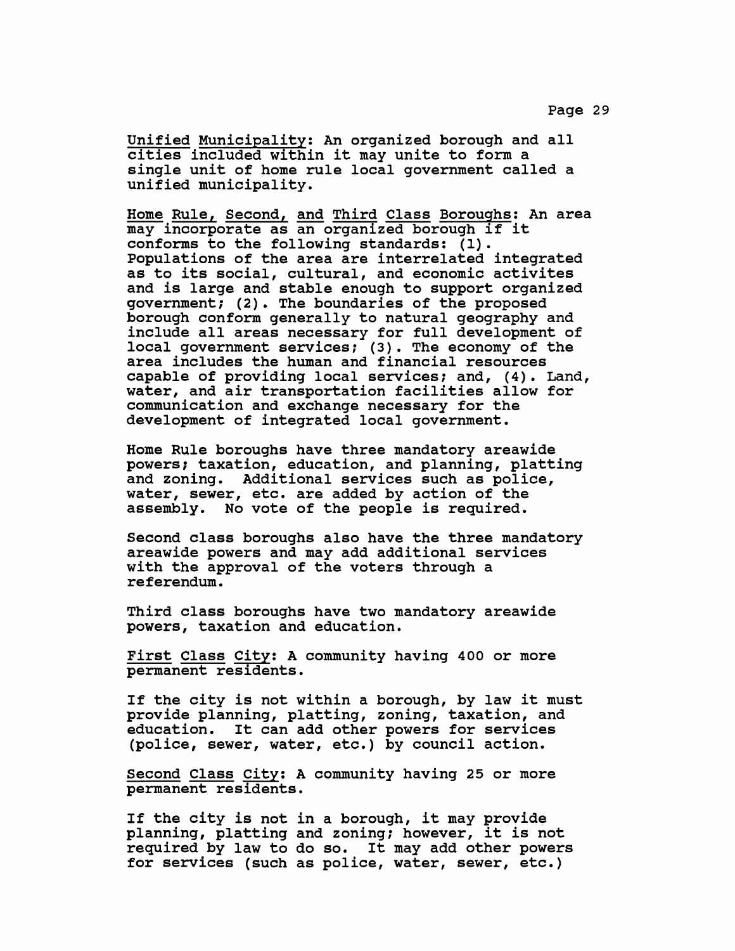**Unified Municipality: An organized borough and all cities included within it may unite to form a single unit of home rule local government called a unified municipality.**

**Home Rule, Second, and Third Class Boroughs: An area may incorporate as an organized borough if it conforms to the following standards: (1). Populations of the area are interrelated integrated as to its social, cultural, and economic activites and is large and stable enough to support organized government; (2). The boundaries of the proposed borough conform generally to natural geography and include all areas necessary for full development of local government services; (3). The economy of the area includes the human and financial resources capable of providing local services; and, (4). Land, water, and air transportation facilities allow for communication and exchange necessary for the development of integrated local government.**

**Home Rule boroughs have three mandatory areawide powers; taxation, education, and planning, platting and zoning. Additional services such as police, water, sewer, etc. are added by action of the assembly. No vote of the people is required.**

**Second class boroughs also have the three mandatory areawide powers and may add additional services with the approval of the voters through a referendum.**

**Third class boroughs have two mandatory areawide powers, taxation and education.**

**First Class City: A community having 400 or more permanent residents.**

**If the city is not within a borough, by law it must provide planning, platting, zoning, taxation, and education. It can add other powers for services (police, sewer, water, etc.) by council action.**

**Second Class City: A community having 25 or more permanent residents.**

**If the city is not in a borough, it may provide planning, platting and zoning; however, it is not required by law to do so. It may add other powers for services (such as police, water, sewer, etc.)**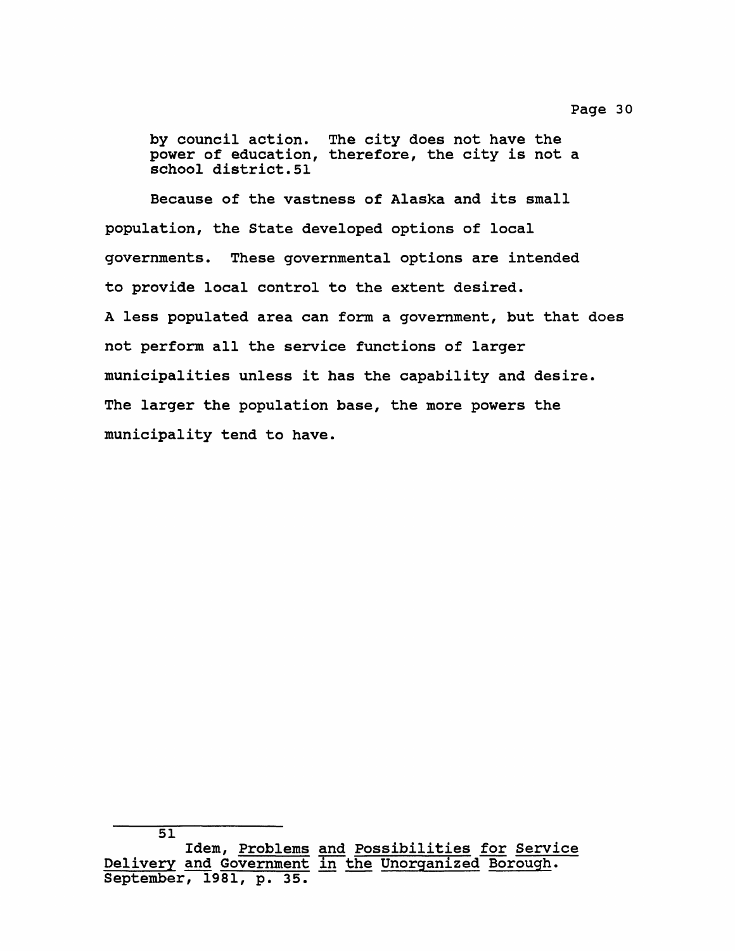**by council action. The city does not have the power of education, therefore, the city is not a school district.51**

**Because of the vastness of Alaska and its small population, the State developed options of local governments. These governmental options are intended to provide local control to the extent desired. A less populated area can form a government, but that does not perform all the service functions of larger municipalities unless it has the capability and desire. The larger the population base, the more powers the municipality tend to have.**

**<sup>51</sup> Idem, Problems and Possibilities for Service Delivery and Government in the Unorganized Borough. September, 1981, p. 35.**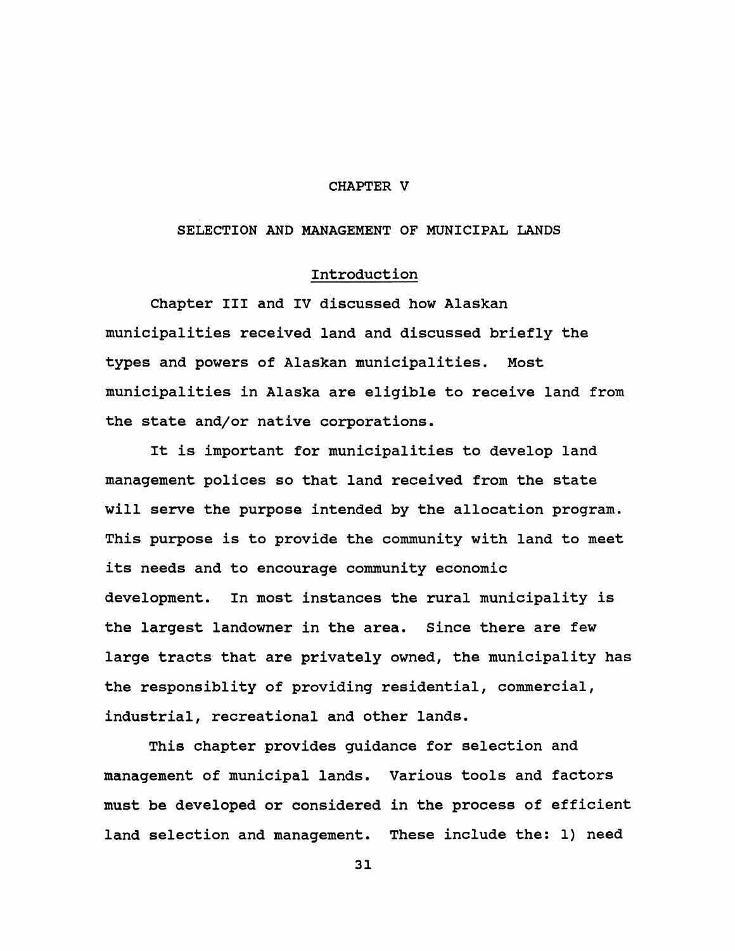#### **CHAPTER V**

#### **SELECTION AND MANAGEMENT OF MUNICIPAL LANDS**

# **Introduction**

**Chapter III and IV discussed how Alaskan municipalities received land and discussed briefly the types and powers of Alaskan municipalities. Most municipalities in Alaska are eligible to receive land from the state and/or native corporations.**

**It is important for municipalities to develop land management polices so that land received from the state will serve the purpose intended by the allocation program. This purpose is to provide the community with land to meet its needs and to encourage community economic development. In most instances the rural municipality is the largest landowner in the area. Since there are few large tracts that are privately owned, the municipality has the responsiblity of providing residential, commercial, industrial, recreational and other lands.**

**This chapter provides guidance for selection and management of municipal lands. Various tools and factors must be developed or considered in the process of efficient land selection and management. These include the: 1) need**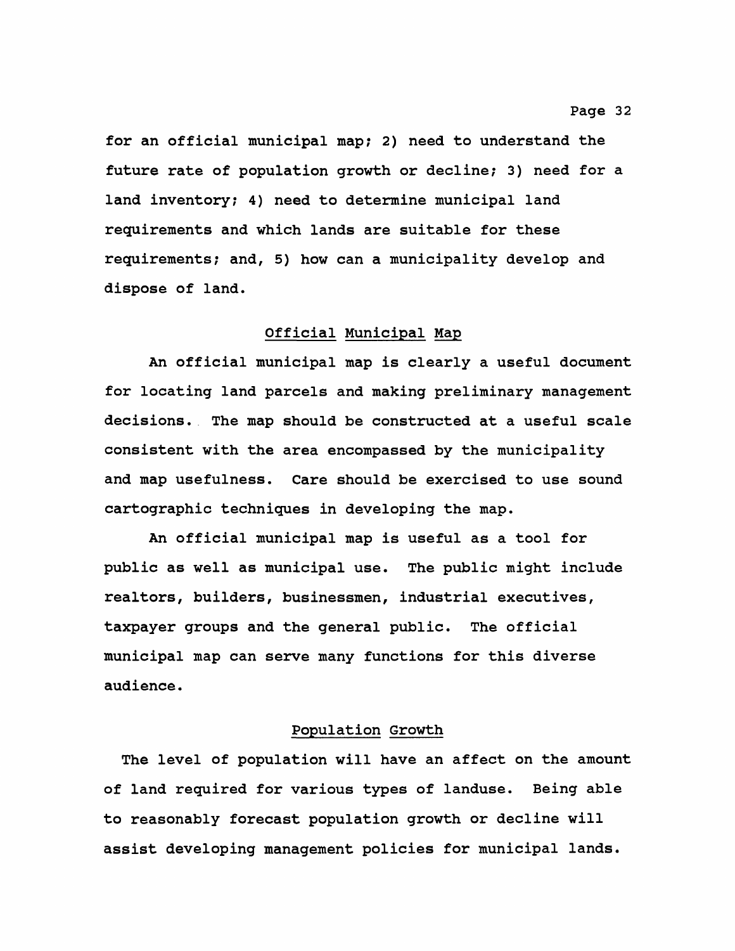**for an official municipal map; 2) need to understand the future rate of population growth or decline; 3) need for a land inventory; 4) need to determine municipal land requirements and which lands are suitable for these requirements; and, 5) how can a municipality develop and dispose of land.**

#### **Official Municipal Map**

**An official municipal map is clearly a useful document for locating land parcels and making preliminary management decisions. The map should be constructed at a useful scale consistent with the area encompassed by the municipality and map usefulness. Care should be exercised to use sound cartographic techniques in developing the map.**

**An official municipal map is useful as a tool for public as well as municipal use. The public might include realtors, builders, businessmen, industrial executives, taxpayer groups and the general public. The official municipal map can serve many functions for this diverse audience.**

# **Population Growth**

**The level of population will have an affect on the amount of land required for various types of landuse. Being able to reasonably forecast population growth or decline will assist developing management policies for municipal lands.**

#### **Page 32**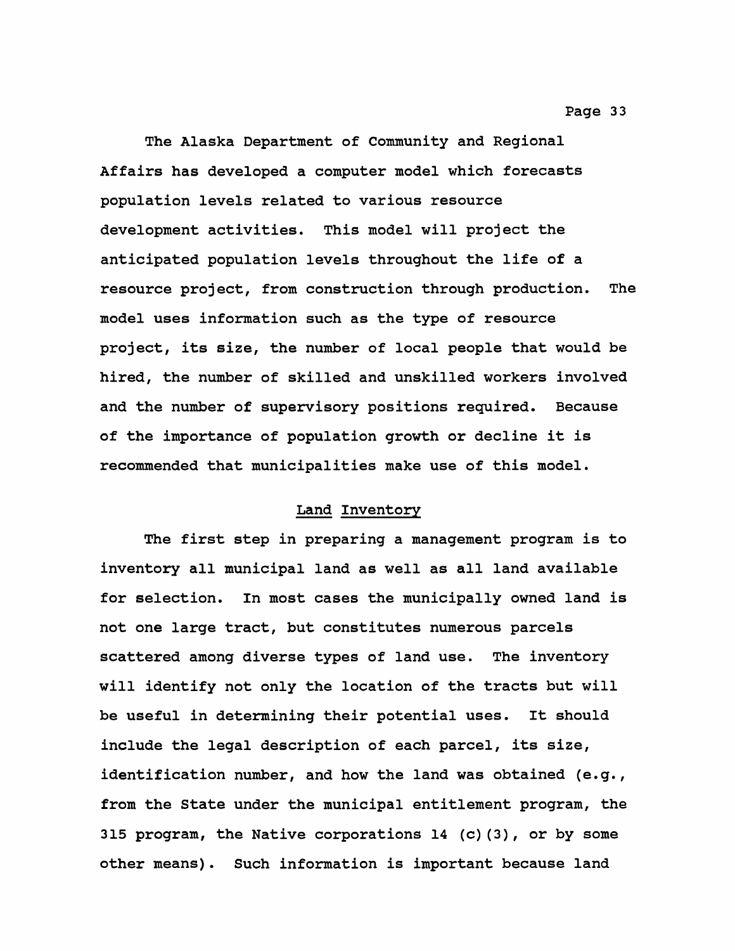**The Alaska Department of Community and Regional Affairs has developed a computer model which forecasts population levels related to various resource development activities. This model will project the anticipated population levels throughout the life of a resource project, from construction through production. The model uses information such as the type of resource project, its size, the number of local people that would be hired, the number of skilled and unskilled workers involved and the number of supervisory positions required. Because of the importance of population growth or decline it is recommended that municipalities make use of this model.**

# **Land Inventory**

**The first step in preparing a management program is to inventory all municipal land as well as all land available for selection. In most cases the municipally owned land is not one large tract, but constitutes numerous parcels scattered among diverse types of land use. The inventory will identify not only the location of the tracts but will be useful in determining their potential uses. It should include the legal description of each parcel, its size, identification number, and how the land was obtained (e.g., from the State under the municipal entitlement program, the 315 program, the Native corporations 14 (c)(3), or by some other means). Such information is important because land**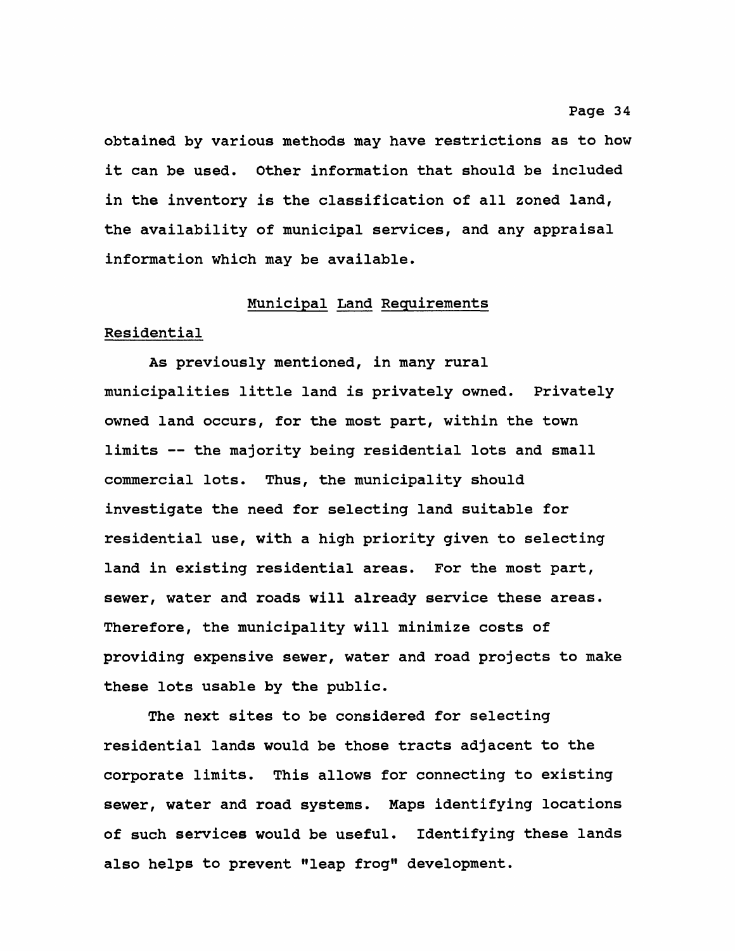**obtained by various methods may have restrictions as to how it can be used. Other information that should be included in the inventory is the classification of all zoned land, the availability of municipal services, and any appraisal information which may be available.**

#### **Municipal Land Requirements**

#### **Residential**

**As previously mentioned, in many rural municipalities little land is privately owned. Privately owned land occurs, for the most part, within the town limits — the majority being residential lots and small commercial lots. Thus, the municipality should investigate the need for selecting land suitable for residential use, with a high priority given to selecting land in existing residential areas. For the most part, sewer, water and roads will already service these areas. Therefore, the municipality will minimize costs of providing expensive sewer, water and road projects to make these lots usable by the public.**

**The next sites to be considered for selecting residential lands would be those tracts adjacent to the corporate limits. This allows for connecting to existing sewer, water and road systems. Maps identifying locations of such services would be useful. Identifying these lands also helps to prevent "leap frog" development.**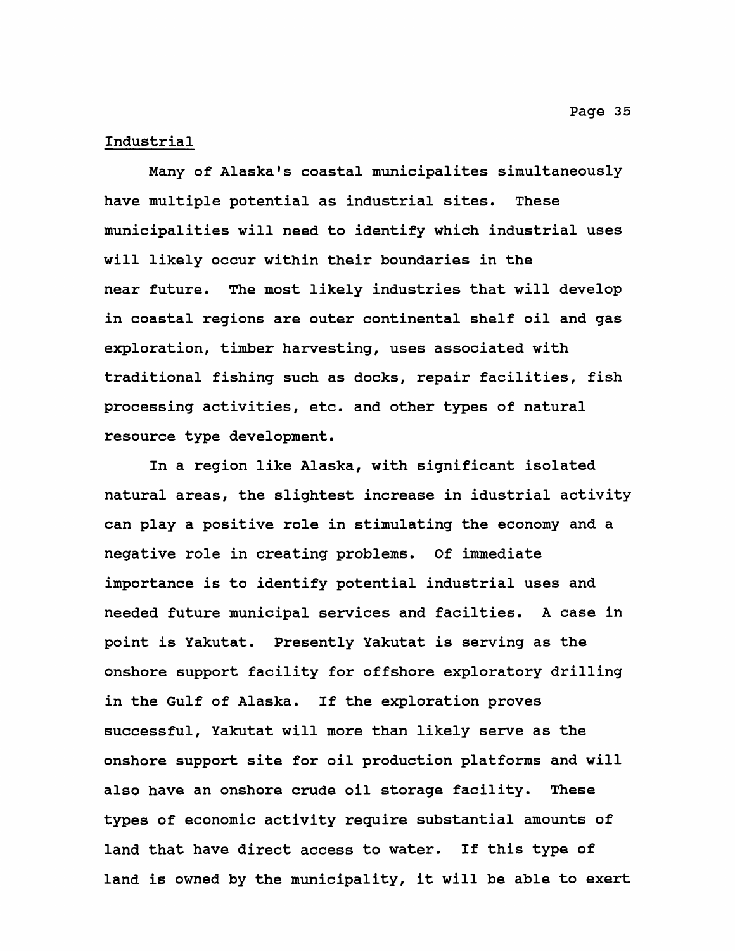# **Industrial**

**Many of Alaska's coastal municipalites simultaneously have multiple potential as industrial sites. These municipalities will need to identify which industrial uses will likely occur within their boundaries in the near future. The most likely industries that will develop in coastal regions are outer continental shelf oil and gas exploration, timber harvesting, uses associated with traditional fishing such as docks, repair facilities, fish processing activities, etc. and other types of natural resource type development.**

**In a region like Alaska, with significant isolated natural areas, the slightest increase in idustrial activity can play a positive role in stimulating the economy and a negative role in creating problems. Of immediate importance is to identify potential industrial uses and needed future municipal services and facilties. A case in point is Yakutat. Presently Yakutat is serving as the onshore support facility for offshore exploratory drilling in the Gulf of Alaska. If the exploration proves successful, Yakutat will more than likely serve as the onshore support site for oil production platforms and will also have an onshore crude oil storage facility. These types of economic activity require substantial amounts of land that have direct access to water. If this type of land is owned by the municipality, it will be able to exert**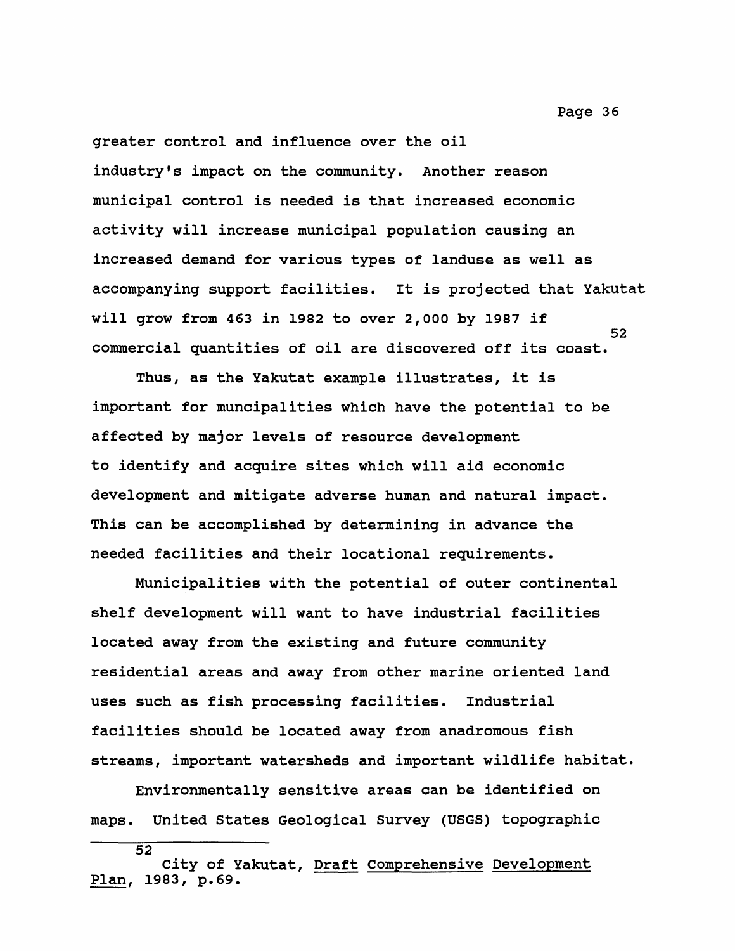**greater control and influence over the oil industry's impact on the community. Another reason municipal control is needed is that increased economic activity will increase municipal population causing an increased demand for various types of landuse as well as accompanying support facilities. It is projected that Yakutat will grow from 463 in 1982 to over 2,000 by 1987 if 52 commercial quantities of oil are discovered off its coast.**

**Thus, as the Yakutat example illustrates, it is important for muncipalities which have the potential to be affected by major levels of resource development to identify and acquire sites which will aid economic development and mitigate adverse human and natural impact. This can be accomplished by determining in advance the needed facilities and their locational requirements.**

**Municipalities with the potential of outer continental shelf development will want to have industrial facilities located away from the existing and future community residential areas and away from other marine oriented land uses such as fish processing facilities. Industrial facilities should be located away from anadromous fish streams, important watersheds and important wildlife habitat.**

**Environmentally sensitive areas can be identified on maps. United States Geological Survey (USGS) topographic**

**City of Yakutat, Draft Comprehensive Development Plan, 1983, p.69.**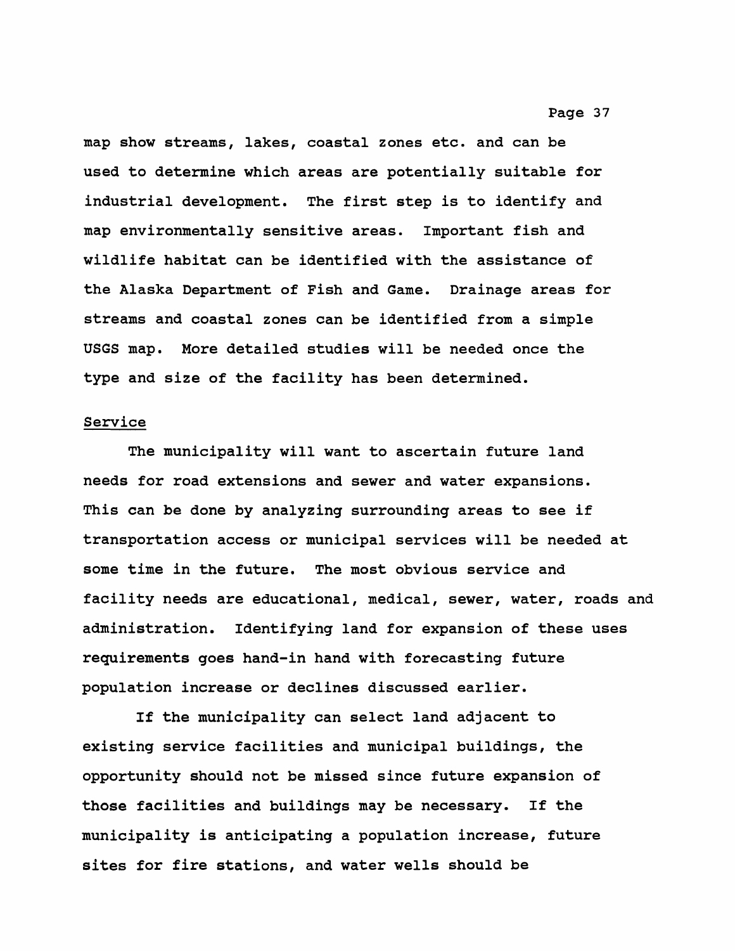**map show streams, lakes, coastal zones etc. and can be used to determine which areas are potentially suitable for industrial development. The first step is to identify and map environmentally sensitive areas. Important fish and wildlife habitat can be identified with the assistance of the Alaska Department of Fish and Game. Drainage areas for streams and coastal zones can be identified from a simple USGS map. More detailed studies will be needed once the type and size of the facility has been determined.**

#### **Service**

**The municipality will want to ascertain future land needs for road extensions and sewer and water expansions. This can be done by analyzing surrounding areas to see if transportation access or municipal services will be needed at some time in the future. The most obvious service and facility needs are educational, medical, sewer, water, roads and administration. Identifying land for expansion of these uses requirements goes hand-in hand with forecasting future population increase or declines discussed earlier.**

**If the municipality can select land adjacent to existing service facilities and municipal buildings, the opportunity should not be missed since future expansion of those facilities and buildings may be necessary. If the municipality is anticipating a population increase, future sites for fire stations, and water wells should be**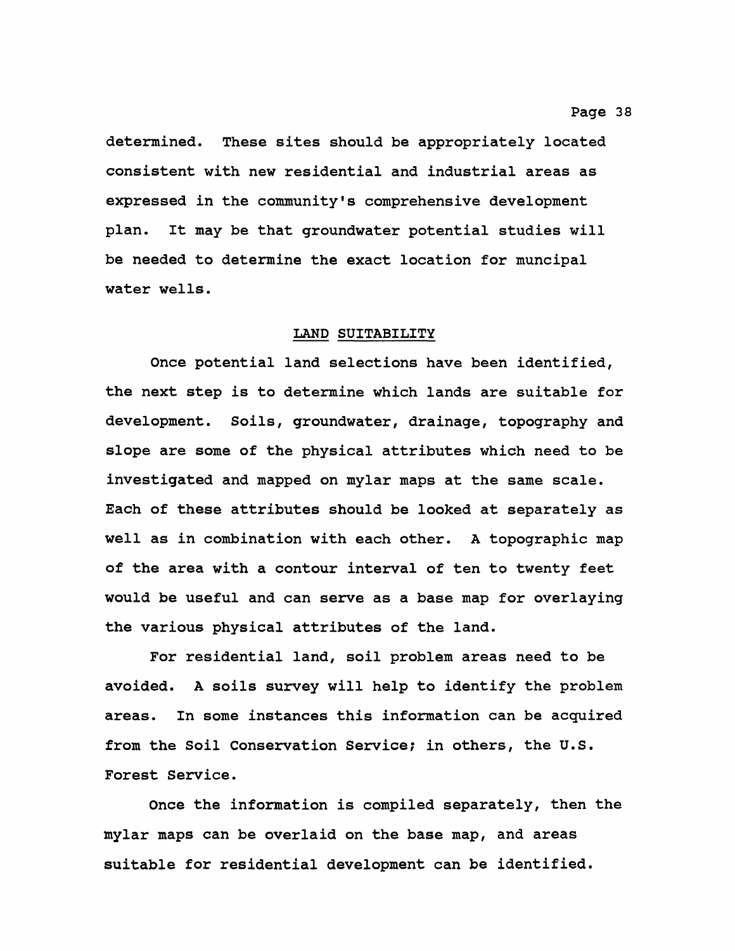**determined. These sites should be appropriately located consistent with new residential and industrial areas as expressed in the community\*s comprehensive development plan. It may be that groundwater potential studies will be needed to determine the exact location for muncipal water wells.**

#### **LAND SUITABILITY**

**Once potential land selections have been identified, the next step is to determine which lands are suitable for development. Soils, groundwater, drainage, topography and slope are some of the physical attributes which need to be investigated and mapped on mylar maps at the same scale. Each of these attributes should be looked at separately as well as in combination with each other. A topographic map of the area with a contour interval of ten to twenty feet would be useful and can serve as a base map for overlaying the various physical attributes of the land.**

**For residential land, soil problem areas need to be avoided. A soils survey will help to identify the problem areas. In some instances this information can be acquired from the Soil Conservation Service; in others, the U.S. Forest Service.**

**Once the information is compiled separately, then the mylar maps can be overlaid on the base map, and areas suitable for residential development can be identified.**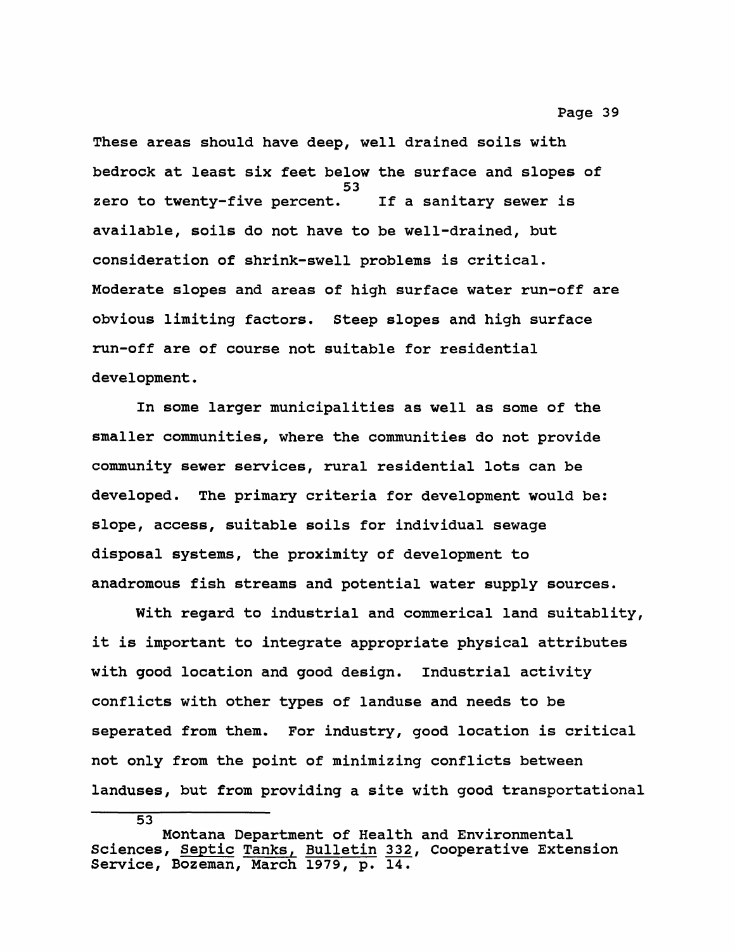**These areas should have deep, well drained soils with bedrock at least six feet below the surface and slopes of 53 zero to twenty-five percent. If a sanitary sewer is available, soils do not have to be well-drained, but consideration of shrink-swell problems is critical. Moderate slopes and areas of high surface water run-off are obvious limiting factors. Steep slopes and high surface run-off are of course not suitable for residential development.**

**In some larger municipalities as well as some of the smaller communities, where the communities do not provide community sewer services, rural residential lots can be developed. The primary criteria for development would be: slope, access, suitable soils for individual sewage disposal systems, the proximity of development to anadromous fish streams and potential water supply sources.**

**With regard to industrial and commerical land suitablity, it is important to integrate appropriate physical attributes with good location and good design. Industrial activity conflicts with other types of landuse and needs to be seperated from them. For industry, good location is critical not only from the point of minimizing conflicts between landuses, but from providing a site with good transportational**

**Montana Department of Health and Environmental Sciences, Septic Tanks, Bulletin 332, Cooperative Extension Service, Bozeman, March 1979, p. 14.**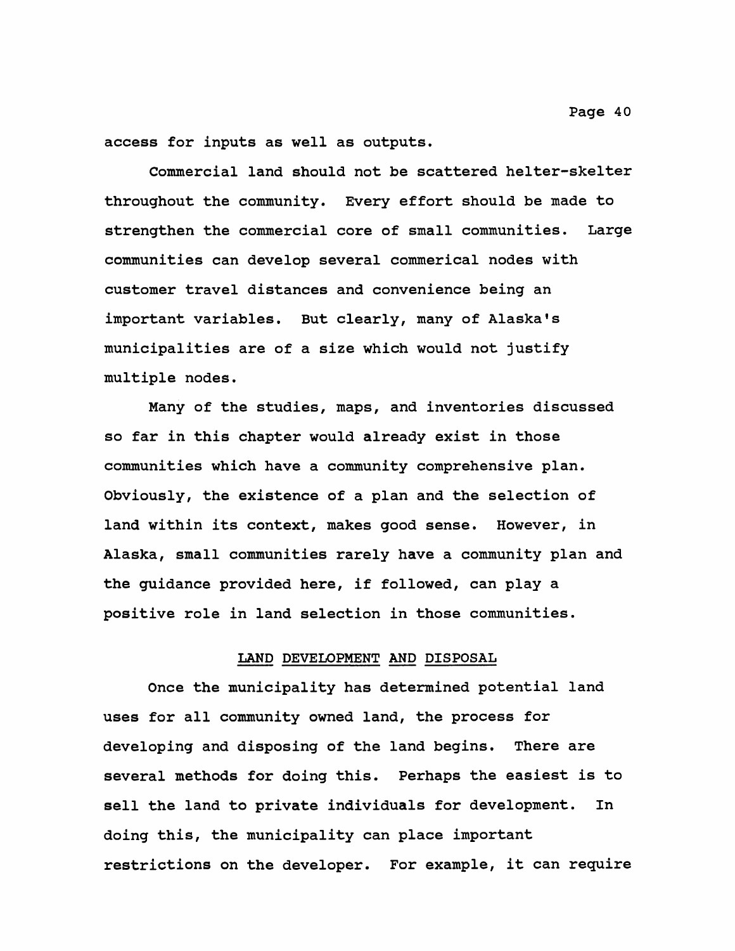**access for inputs as well as outputs.**

**Commercial land should not be scattered helter-skelter throughout the community. Every effort should be made to strengthen the commercial core of small communities. Large communities can develop several commerical nodes with customer travel distances and convenience being an important variables. But clearly, many of Alaska's municipalities are of a size which would not justify multiple nodes.**

**Many of the studies, maps, and inventories discussed so far in this chapter would already exist in those communities which have a community comprehensive plan. Obviously, the existence of a plan and the selection of land within its context, makes good sense. However, in Alaska, small communities rarely have a community plan and the guidance provided here, if followed, can play a positive role in land selection in those communities.**

#### **LAND DEVELOPMENT AND DISPOSAL**

**Once the municipality has determined potential land uses for all community owned land, the process for developing and disposing of the land begins. There are several methods for doing this. Perhaps the easiest is to sell the land to private individuals for development. In doing this, the municipality can place important restrictions on the developer. For example, it can require**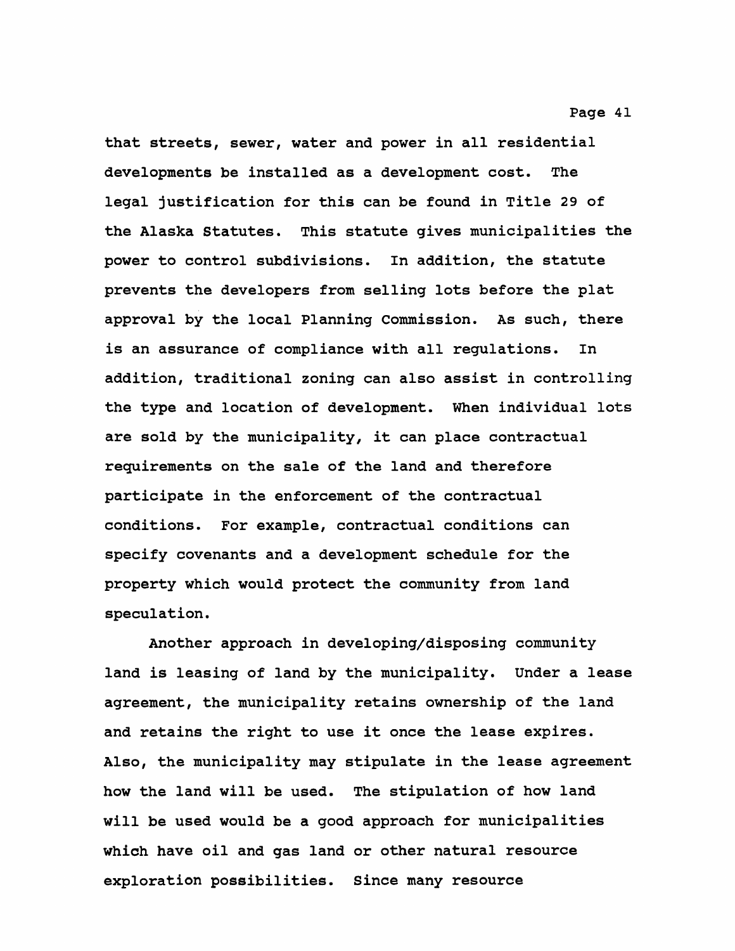**that streets, sewer, water and power in all residential developments be installed as a development cost. The legal justification for this can be found in Title 29 of the Alaska Statutes. This statute gives municipalities the power to control subdivisions. In addition, the statute prevents the developers from selling lots before the plat approval by the local Planning Commission. As such, there is an assurance of compliance with all regulations. In addition, traditional zoning can also assist in controlling the type and location of development. When individual lots are sold by the municipality, it can place contractual requirements on the sale of the land and therefore participate in the enforcement of the contractual conditions. For example, contractual conditions can specify covenants and a development schedule for the property which would protect the community from land**

**Another approach in developing/disposing community land is leasing of land by the municipality. Under a lease agreement, the municipality retains ownership of the land and retains the right to use it once the lease expires. Also, the municipality may stipulate in the lease agreement how the land will be used. The stipulation of how land will be used would be a good approach for municipalities which have oil and gas land or other natural resource exploration possibilities. Since many resource**

**speculation.**

#### **Page 41**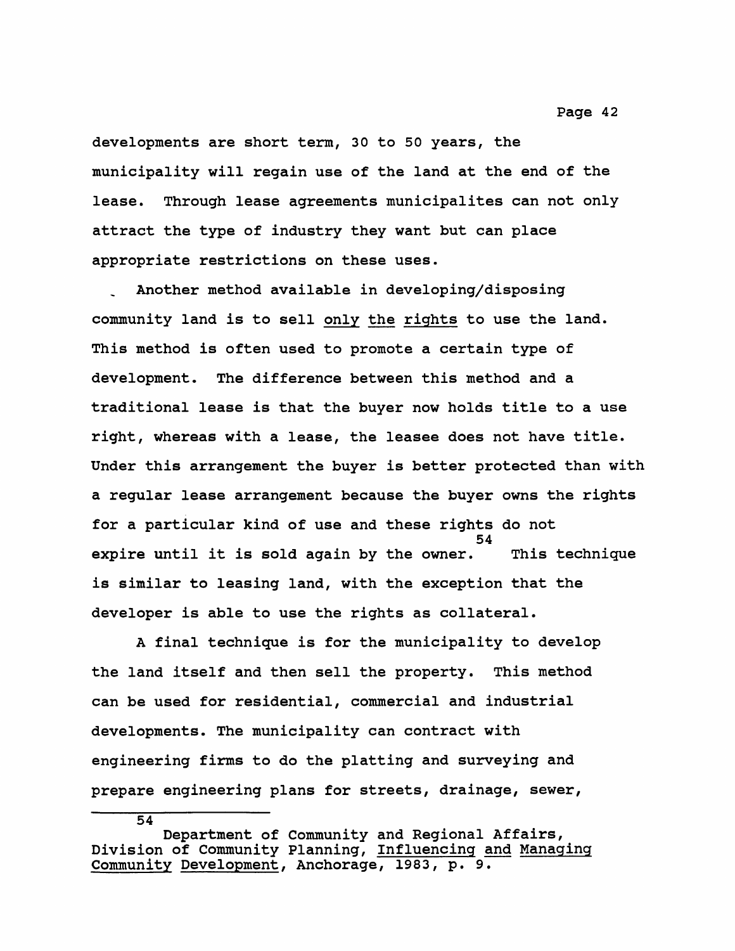**developments are short term, 30 to 50 years, the municipality will regain use of the land at the end of the lease. Through lease agreements municipalites can not only attract the type of industry they want but can place appropriate restrictions on these uses.**

**Another method available in developing/disposing community land is to sell only the rights to use the land. This method is often used to promote a certain type of development. The difference between this method and a traditional lease is that the buyer now holds title to a use right, whereas with a lease, the leasee does not have title. Under this arrangement the buyer is better protected than with a regular lease arrangement because the buyer owns the rights for a particular kind of use and these rights do not 54 expire until it is sold again by the owner. This technique is similar to leasing land, with the exception that the developer is able to use the rights as collateral.**

**A final technique is for the municipality to develop the land itself and then sell the property. This method can be used for residential, commercial and industrial developments. The municipality can contract with engineering firms to do the platting and surveying and prepare engineering plans for streets, drainage, sewer,**

**Department of Community and Regional Affairs, Division of Community Planning, Influencing and Managing Community Development, Anchorage, 1983, p. 9.**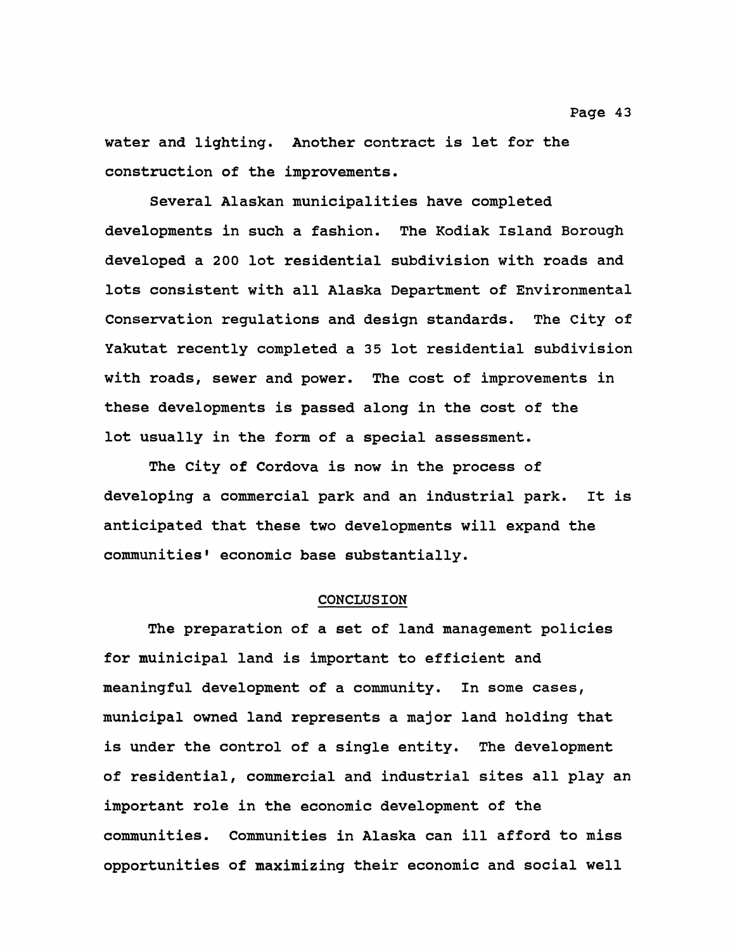**water and lighting. Another contract is let for the construction of the improvements.**

**Several Alaskan municipalities have completed developments in such a fashion. The Kodiak Island Borough developed a 200 lot residential subdivision with roads and lots consistent with all Alaska Department of Environmental Conservation regulations and design standards. The City of Yakutat recently completed a 35 lot residential subdivision with roads, sewer and power. The cost of improvements in these developments is passed along in the cost of the lot usually in the form of a special assessment.**

**The City of Cordova is now in the process of developing a commercial park and an industrial park. It is anticipated that these two developments will expand the** communities' economic base substantially.

#### **CONCLUSION**

**The preparation of a set of land management policies for muinicipal land is important to efficient and meaningful development of a community. In some cases, municipal owned land represents a major land holding that is under the control of a single entity. The development of residential, commercial and industrial sites all play an important role in the economic development of the communities. Communities in Alaska can ill afford to miss opportunities of maximizing their economic and social well**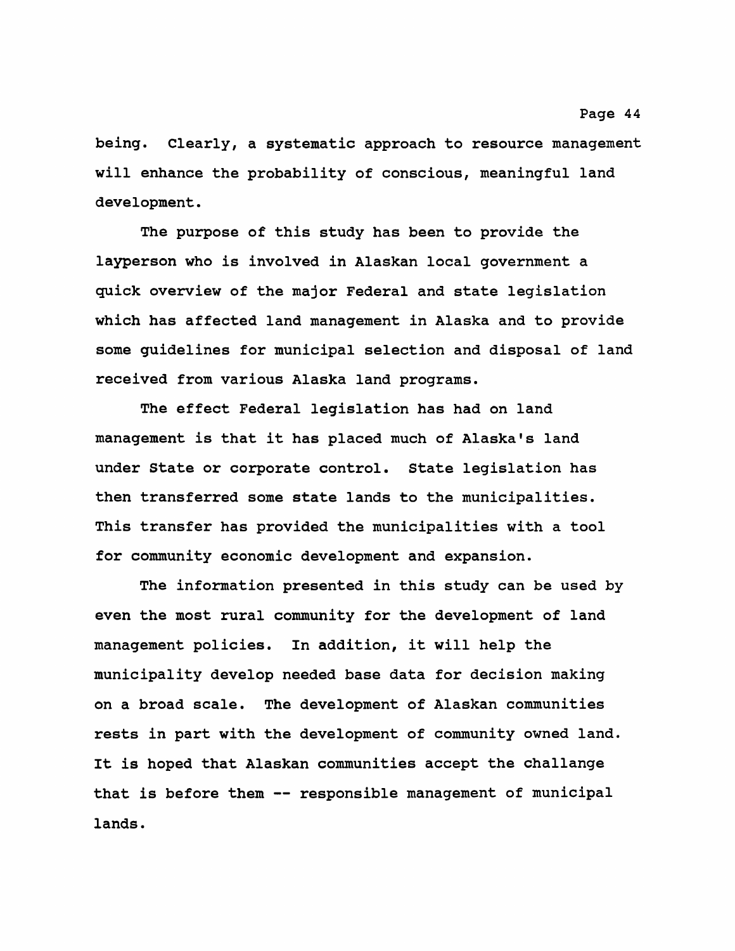**being. Clearly, a systematic approach to resource management will enhance the probability of conscious, meaningful land development.**

**The purpose of this study has been to provide the layperson who is involved in Alaskan local government a quick overview of the major Federal and state legislation which has affected land management in Alaska and to provide some guidelines for municipal selection and disposal of land received from various Alaska land programs.**

**The effect Federal legislation has had on land management is that it has placed much of Alaska's land under State or corporate control. State legislation has then transferred some state lands to the municipalities. This transfer has provided the municipalities with a tool for community economic development and expansion.**

**The information presented in this study can be used by even the most rural community for the development of land management policies. In addition, it will help the municipality develop needed base data for decision making on a broad scale. The development of Alaskan communities rests in part with the development of community owned land. It is hoped that Alaskan communities accept the challange that is before them — responsible management of municipal lands.**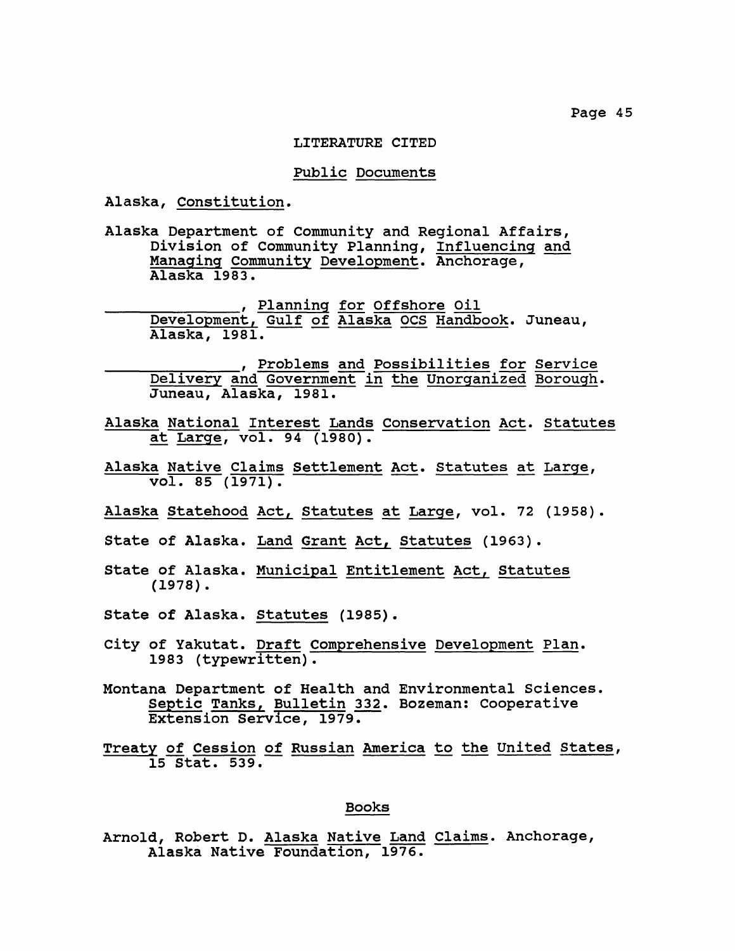#### **LITERATURE CITED**

#### **Public Documents**

**Alaska, Constitution.**

**Alaska Department of Community and Regional Affairs, Division of Community Planning, Influencing and Managing Community Development. Anchorage, Alaska 1983.**

**\_\_\_\_\_\_\_\_\_\_\_\_\_\_\_ , Planning for Offshore Oil** Development, Gulf of Alaska OCS Handbook. Juneau, **Alaska, 1981.**

**\_\_\_\_\_\_\_\_\_\_\_\_\_\_\_ , Problems and Possibilities for Service Delivery and Government in the Unorganized Borough. Juneau, Alaska, 1981.**

- **Alaska National Interest Lands Conservation Act. Statutes at Large, vol. 94 (1980).**
- **Alaska Native Claims Settlement Act. Statutes at Large, vol. 85 (1971).**
- **Alaska Statehood Act, Statutes at Large, vol. 72 (1958).**
- **State of Alaska. Land Grant Act, Statutes (1963).**
- **State of Alaska. Municipal Entitlement Act, Statutes (1978) .**
- **State of Alaska. Statutes (1985).**
- **City of Yakutat. Draft Comprehensive Development Plan. 1983 (typewritten).**
- **Montana Department of Health and Environmental Sciences. Septic Tanks, Bulletin 332. Bozeman: Cooperative Extension Service, 1979.**
- **Treaty of Cession of Russian America to the United States 15 Stat. 539.**

#### **Books**

**Arnold, Robert D. Alaska Native Land Claims. Anchorage, Alaska Native Foundation, 1976.**